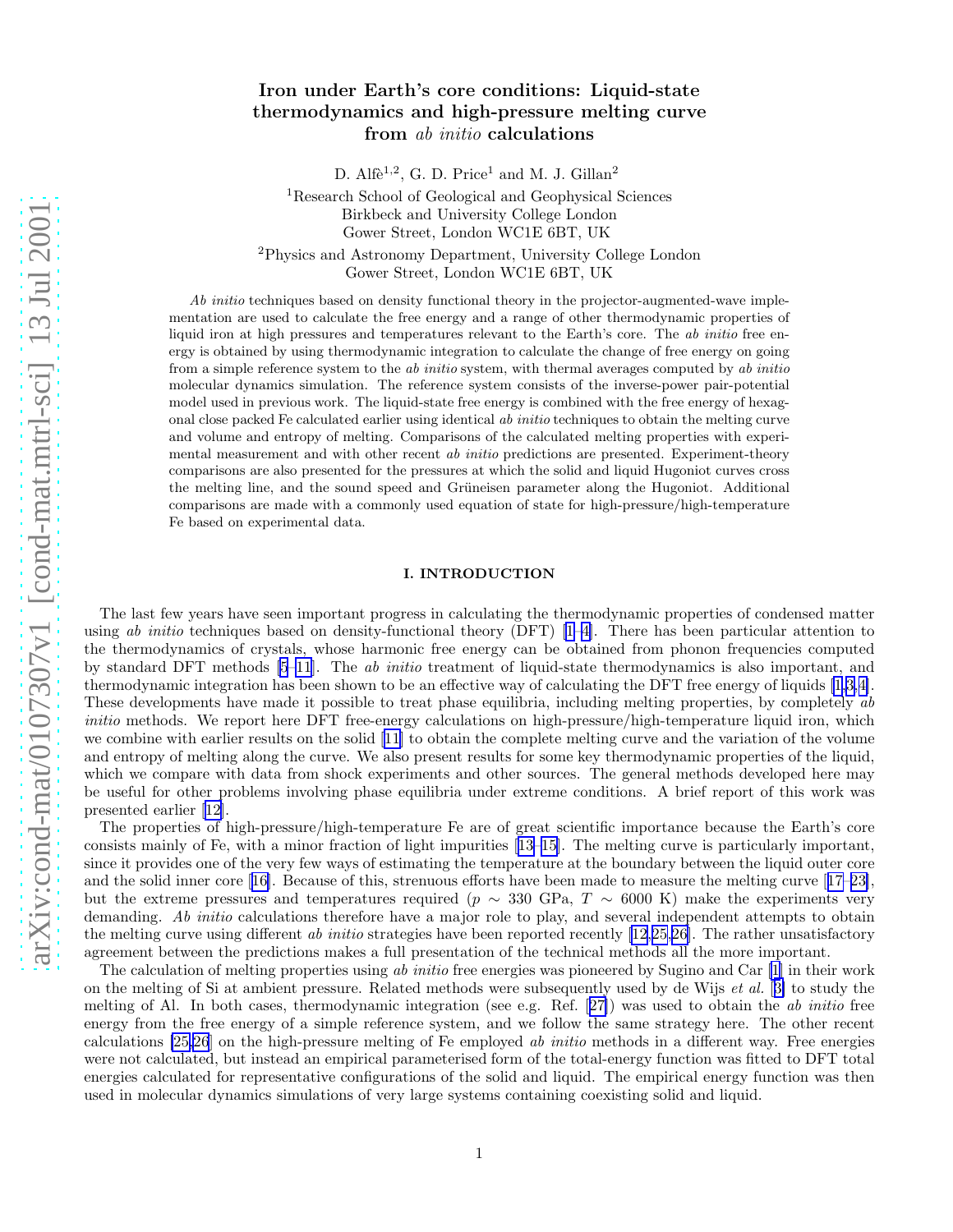# Iron under Earth's core conditions: Liquid-state thermodynamics and high-pressure melting curve from ab initio calculations

D. Alfè<sup>1,2</sup>, G. D. Price<sup>1</sup> and M. J. Gillan<sup>2</sup>

<sup>1</sup>Research School of Geological and Geophysical Sciences Birkbeck and University College London Gower Street, London WC1E 6BT, UK <sup>2</sup>Physics and Astronomy Department, University College London

Gower Street, London WC1E 6BT, UK

Ab *initio* techniques based on density functional theory in the projector-augmented-wave implementation are used to calculate the free energy and a range of other thermodynamic properties of liquid iron at high pressures and temperatures relevant to the Earth's core. The ab initio free energy is obtained by using thermodynamic integration to calculate the change of free energy on going from a simple reference system to the *ab initio* system, with thermal averages computed by *ab initio* molecular dynamics simulation. The reference system consists of the inverse-power pair-potential model used in previous work. The liquid-state free energy is combined with the free energy of hexagonal close packed Fe calculated earlier using identical ab initio techniques to obtain the melting curve and volume and entropy of melting. Comparisons of the calculated melting properties with experimental measurement and with other recent ab initio predictions are presented. Experiment-theory comparisons are also presented for the pressures at which the solid and liquid Hugoniot curves cross the melting line, and the sound speed and Grüneisen parameter along the Hugoniot. Additional comparisons are made with a commonly used equation of state for high-pressure/high-temperature Fe based on experimental data.

# I. INTRODUCTION

The last few years have seen important progress in calculating the thermodynamic properties of condensed matter usingab initio techniques based on density-functional theory (DFT)  $[1-4]$ . There has been particular attention to the thermodynamics of crystals, whose harmonic free energy can be obtained from phonon frequencies computed by standard DFT methods [\[5–11](#page-10-0)]. The ab initio treatment of liquid-state thermodynamics is also important, and thermodynamic integration has been shown to be an effective way of calculating the DFT free energy of liquids [\[1](#page-10-0),[3,4\]](#page-10-0). These developments have made it possible to treat phase equilibria, including melting properties, by completely ab initio methods. We report here DFT free-energy calculations on high-pressure/high-temperature liquid iron, which we combine with earlier results on the solid [\[11](#page-10-0)] to obtain the complete melting curve and the variation of the volume and entropy of melting along the curve. We also present results for some key thermodynamic properties of the liquid, which we compare with data from shock experiments and other sources. The general methods developed here may be useful for other problems involving phase equilibria under extreme conditions. A brief report of this work was presented earlier[[12\]](#page-10-0).

The properties of high-pressure/high-temperature Fe are of great scientific importance because the Earth's core consists mainly of Fe, with a minor fraction of light impurities [\[13–15\]](#page-10-0). The melting curve is particularly important, since it provides one of the very few ways of estimating the temperature at the boundary between the liquid outer core and the solid inner core[[16\]](#page-10-0). Because of this, strenuous efforts have been made to measure the melting curve[[17–23\]](#page-10-0), but the extreme pressures and temperatures required (p  $\sim$  330 GPa, T  $\sim$  6000 K) make the experiments very demanding. Ab initio calculations therefore have a major role to play, and several independent attempts to obtain the melting curve using different ab initio strategies have been reported recently  $[12.25.26]$  $[12.25.26]$  $[12.25.26]$  $[12.25.26]$ . The rather unsatisfactory agreement between the predictions makes a full presentation of the technical methods all the more important.

Thecalculation of melting properties using ab *initio* free energies was pioneered by Sugino and Car [[1](#page-10-0)] in their work on the melting of Si at ambient pressure. Related methods were subsequently used by de Wijs et al. [[3\]](#page-10-0) to study the meltingof Al. In both cases, thermodynamic integration (see e.g. Ref. [[27\]](#page-10-0)) was used to obtain the ab initio free energy from the free energy of a simple reference system, and we follow the same strategy here. The other recent calculations [\[25,26](#page-10-0)] on the high-pressure melting of Fe employed ab initio methods in a different way. Free energies were not calculated, but instead an empirical parameterised form of the total-energy function was fitted to DFT total energies calculated for representative configurations of the solid and liquid. The empirical energy function was then used in molecular dynamics simulations of very large systems containing coexisting solid and liquid.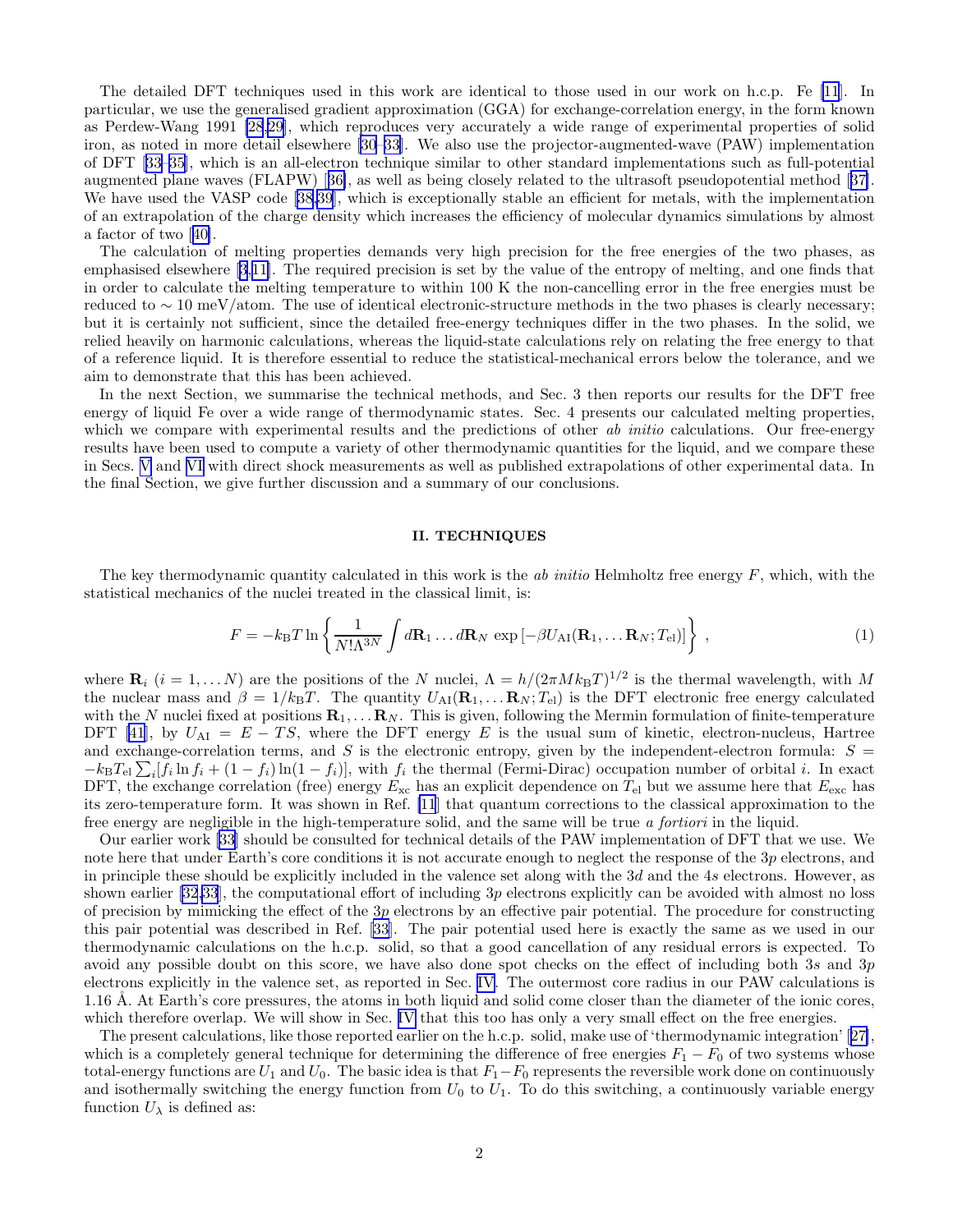<span id="page-1-0"></span>The detailed DFT techniques used in this work are identical to those used in our work on h.c.p. Fe [\[11](#page-10-0)]. In particular, we use the generalised gradient approximation (GGA) for exchange-correlation energy, in the form known as Perdew-Wang 1991 [\[28,29](#page-10-0)], which reproduces very accurately a wide range of experimental properties of solid iron, as noted in more detail elsewhere[[30–33](#page-10-0)]. We also use the projector-augmented-wave (PAW) implementation of DFT[[33–35\]](#page-10-0), which is an all-electron technique similar to other standard implementations such as full-potential augmented plane waves (FLAPW)[[36\]](#page-10-0), as well as being closely related to the ultrasoft pseudopotential method[[37\]](#page-10-0). We have used the VASP code [\[38,39](#page-10-0)], which is exceptionally stable an efficient for metals, with the implementation of an extrapolation of the charge density which increases the efficiency of molecular dynamics simulations by almost a factor of two[[40\]](#page-10-0).

The calculation of melting properties demands very high precision for the free energies of the two phases, as emphasised elsewhere [\[3](#page-10-0),[11\]](#page-10-0). The required precision is set by the value of the entropy of melting, and one finds that in order to calculate the melting temperature to within 100 K the non-cancelling error in the free energies must be reduced to ∼ 10 meV/atom. The use of identical electronic-structure methods in the two phases is clearly necessary; but it is certainly not sufficient, since the detailed free-energy techniques differ in the two phases. In the solid, we relied heavily on harmonic calculations, whereas the liquid-state calculations rely on relating the free energy to that of a reference liquid. It is therefore essential to reduce the statistical-mechanical errors below the tolerance, and we aim to demonstrate that this has been achieved.

In the next Section, we summarise the technical methods, and Sec. 3 then reports our results for the DFT free energy of liquid Fe over a wide range of thermodynamic states. Sec. 4 presents our calculated melting properties, which we compare with experimental results and the predictions of other ab initio calculations. Our free-energy results have been used to compute a variety of other thermodynamic quantities for the liquid, and we compare these in Secs. [V](#page-7-0) and [VI](#page-8-0) with direct shock measurements as well as published extrapolations of other experimental data. In the final Section, we give further discussion and a summary of our conclusions.

## II. TECHNIQUES

The key thermodynamic quantity calculated in this work is the *ab initio* Helmholtz free energy  $F$ , which, with the statistical mechanics of the nuclei treated in the classical limit, is:

$$
F = -k_{\rm B}T\ln\left\{\frac{1}{N!\Lambda^{3N}}\int d\mathbf{R}_1\ldots d\mathbf{R}_N\exp\left[-\beta U_{\rm AI}(\mathbf{R}_1,\ldots\mathbf{R}_N;T_{\rm el})\right]\right\},\tag{1}
$$

where  $\mathbf{R}_i$   $(i = 1, \ldots N)$  are the positions of the N nuclei,  $\Lambda = h/(2\pi Mk_BT)^{1/2}$  is the thermal wavelength, with M the nuclear mass and  $\beta = 1/k_BT$ . The quantity  $U_{\rm AI}({\bf R}_1,\ldots,{\bf R}_N;T_{\rm el})$  is the DFT electronic free energy calculated with the N nuclei fixed at positions  $\mathbf{R}_1, \ldots, \mathbf{R}_N$ . This is given, following the Mermin formulation of finite-temperature DFT [\[41](#page-10-0)], by  $U_{\rm AI} = E - TS$ , where the DFT energy E is the usual sum of kinetic, electron-nucleus, Hartree and exchange-correlation terms, and S is the electronic entropy, given by the independent-electron formula:  $S =$  $-k_{\rm B}T_{\rm el}\sum_i[f_i\ln f_i+(1-f_i)\ln(1-f_i)]$ , with  $f_i$  the thermal (Fermi-Dirac) occupation number of orbital i. In exact DFT, the exchange correlation (free) energy  $E_{\text{xc}}$  has an explicit dependence on  $T_{\text{el}}$  but we assume here that  $E_{\text{exc}}$  has its zero-temperature form. It was shown in Ref. [\[11](#page-10-0)] that quantum corrections to the classical approximation to the free energy are negligible in the high-temperature solid, and the same will be true a fortiori in the liquid.

Our earlier work [\[33](#page-10-0)] should be consulted for technical details of the PAW implementation of DFT that we use. We note here that under Earth's core conditions it is not accurate enough to neglect the response of the 3p electrons, and in principle these should be explicitly included in the valence set along with the  $3d$  and the  $4s$  electrons. However, as shown earlier [\[32,33](#page-10-0)], the computational effort of including 3p electrons explicitly can be avoided with almost no loss of precision by mimicking the effect of the  $3p$  electrons by an effective pair potential. The procedure for constructing this pair potential was described in Ref. [\[33](#page-10-0)]. The pair potential used here is exactly the same as we used in our thermodynamic calculations on the h.c.p. solid, so that a good cancellation of any residual errors is expected. To avoid any possible doubt on this score, we have also done spot checks on the effect of including both 3s and 3p electrons explicitly in the valence set, as reported in Sec. [IV.](#page-5-0) The outermost core radius in our PAW calculations is 1.16 Å. At Earth's core pressures, the atoms in both liquid and solid come closer than the diameter of the ionic cores, which therefore overlap. We will show in Sec. [IV](#page-5-0) that this too has only a very small effect on the free energies.

The present calculations, like those reported earlier on the h.c.p. solid, make use of 'thermodynamic integration'[[27\]](#page-10-0), which is a completely general technique for determining the difference of free energies  $F_1 - F_0$  of two systems whose total-energy functions are  $U_1$  and  $U_0$ . The basic idea is that  $F_1-F_0$  represents the reversible work done on continuously and isothermally switching the energy function from  $U_0$  to  $U_1$ . To do this switching, a continuously variable energy function  $U_{\lambda}$  is defined as: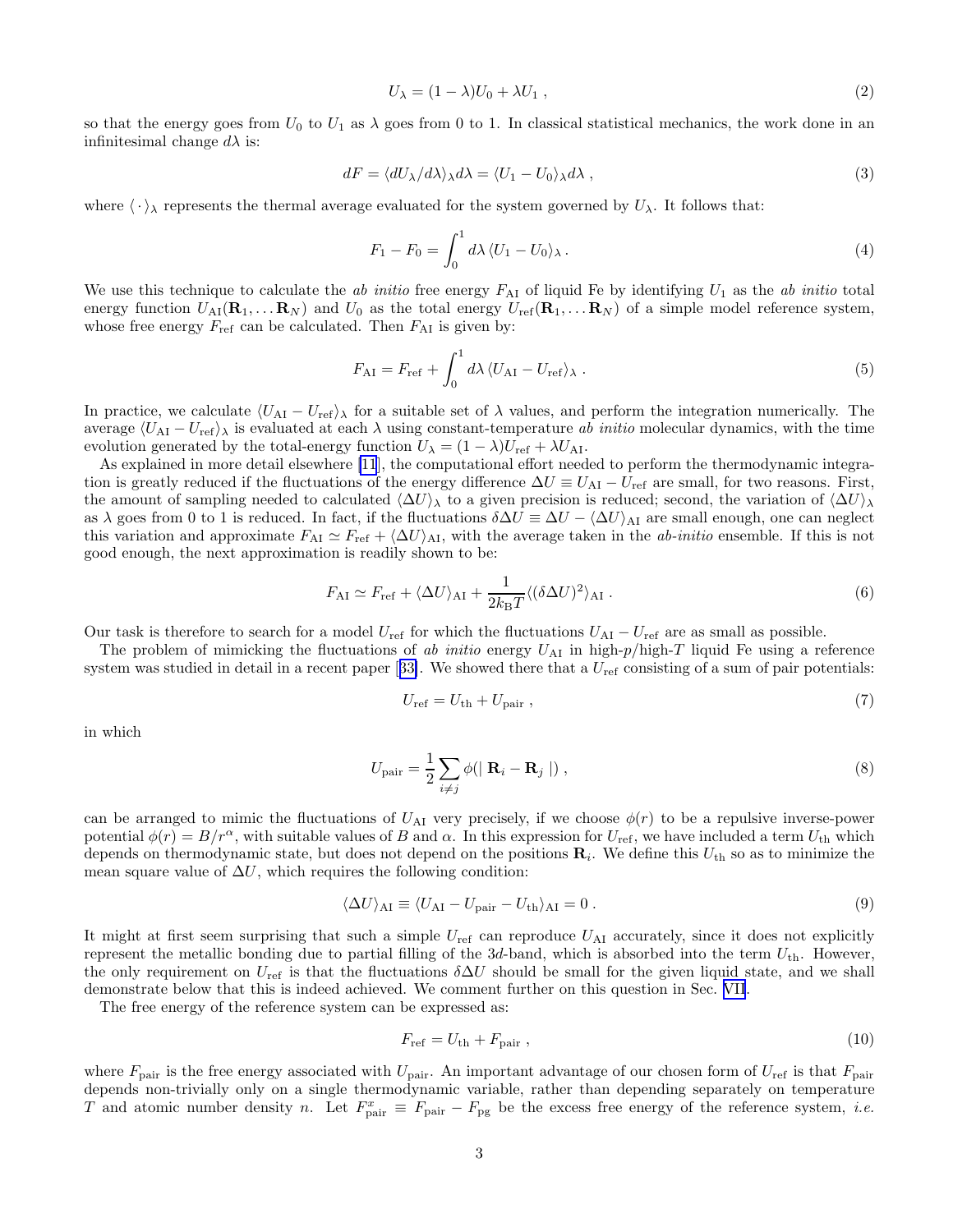$$
U_{\lambda} = (1 - \lambda)U_0 + \lambda U_1 , \qquad (2)
$$

<span id="page-2-0"></span>so that the energy goes from  $U_0$  to  $U_1$  as  $\lambda$  goes from 0 to 1. In classical statistical mechanics, the work done in an infinitesimal change  $d\lambda$  is:

$$
dF = \langle dU_{\lambda}/d\lambda \rangle_{\lambda} d\lambda = \langle U_1 - U_0 \rangle_{\lambda} d\lambda , \qquad (3)
$$

where  $\langle \cdot \rangle_{\lambda}$  represents the thermal average evaluated for the system governed by  $U_{\lambda}$ . It follows that:

$$
F_1 - F_0 = \int_0^1 d\lambda \, \langle U_1 - U_0 \rangle_\lambda \,. \tag{4}
$$

We use this technique to calculate the ab initio free energy  $F_{\rm AI}$  of liquid Fe by identifying  $U_1$  as the ab initio total energy function  $U_{\text{AI}}(\mathbf{R}_1, \dots, \mathbf{R}_N)$  and  $U_0$  as the total energy  $U_{\text{ref}}(\mathbf{R}_1, \dots, \mathbf{R}_N)$  of a simple model reference system, whose free energy  $F_{\text{ref}}$  can be calculated. Then  $F_{\text{AI}}$  is given by:

$$
F_{\rm AI} = F_{\rm ref} + \int_0^1 d\lambda \, \langle U_{\rm AI} - U_{\rm ref} \rangle_\lambda \,. \tag{5}
$$

In practice, we calculate  $\langle U_{\rm AI} - U_{\rm ref} \rangle$  for a suitable set of  $\lambda$  values, and perform the integration numerically. The average  $\langle U_{\rm AI} - U_{\rm ref} \rangle$  is evaluated at each  $\lambda$  using constant-temperature ab initio molecular dynamics, with the time evolution generated by the total-energy function  $U_{\lambda} = (1 - \lambda)U_{\text{ref}} + \lambda U_{\text{AI}}$ .

As explained in more detail elsewhere [\[11](#page-10-0)], the computational effort needed to perform the thermodynamic integration is greatly reduced if the fluctuations of the energy difference  $\Delta U \equiv U_{\rm A1} - U_{\rm ref}$  are small, for two reasons. First, the amount of sampling needed to calculated  $\langle \Delta U \rangle_{\lambda}$  to a given precision is reduced; second, the variation of  $\langle \Delta U \rangle_{\lambda}$ as  $\lambda$  goes from 0 to 1 is reduced. In fact, if the fluctuations  $\delta \Delta U \equiv \Delta U - \langle \Delta U \rangle_{\text{AI}}$  are small enough, one can neglect this variation and approximate  $F_{\rm AI} \simeq F_{\rm ref} + \langle \Delta U \rangle_{\rm AI}$ , with the average taken in the *ab-initio* ensemble. If this is not good enough, the next approximation is readily shown to be:

$$
F_{\rm AI} \simeq F_{\rm ref} + \langle \Delta U \rangle_{\rm AI} + \frac{1}{2k_{\rm B}T} \langle (\delta \Delta U)^2 \rangle_{\rm AI} . \tag{6}
$$

Our task is therefore to search for a model  $U_{\text{ref}}$  for which the fluctuations  $U_{\text{AI}} - U_{\text{ref}}$  are as small as possible.

The problem of mimicking the fluctuations of ab initio energy  $U_{\rm AI}$  in high-p/high-T liquid Fe using a reference systemwas studied in detail in a recent paper [[33\]](#page-10-0). We showed there that a  $U_{\text{ref}}$  consisting of a sum of pair potentials:

$$
U_{\rm ref} = U_{\rm th} + U_{\rm pair} \,,\tag{7}
$$

in which

$$
U_{\text{pair}} = \frac{1}{2} \sum_{i \neq j} \phi(|\mathbf{R}_i - \mathbf{R}_j|), \qquad (8)
$$

can be arranged to mimic the fluctuations of  $U_{\rm AI}$  very precisely, if we choose  $\phi(r)$  to be a repulsive inverse-power potential  $\phi(r) = B/r^{\alpha}$ , with suitable values of B and  $\alpha$ . In this expression for  $U_{\text{ref}}$ , we have included a term  $U_{\text{th}}$  which depends on thermodynamic state, but does not depend on the positions  $\mathbf{R}_i$ . We define this  $U_{\text{th}}$  so as to minimize the mean square value of  $\Delta U$ , which requires the following condition:

$$
\langle \Delta U \rangle_{\text{AI}} \equiv \langle U_{\text{AI}} - U_{\text{pair}} - U_{\text{th}} \rangle_{\text{AI}} = 0. \tag{9}
$$

It might at first seem surprising that such a simple  $U_{\text{ref}}$  can reproduce  $U_{\text{AI}}$  accurately, since it does not explicitly represent the metallic bonding due to partial filling of the  $3d$ -band, which is absorbed into the term  $U_{th}$ . However, the only requirement on  $U_{\text{ref}}$  is that the fluctuations  $\delta \Delta U$  should be small for the given liquid state, and we shall demonstrate below that this is indeed achieved. We comment further on this question in Sec. [VII](#page-8-0).

The free energy of the reference system can be expressed as:

$$
F_{\text{ref}} = U_{\text{th}} + F_{\text{pair}} \,, \tag{10}
$$

where  $F_{\text{pair}}$  is the free energy associated with  $U_{\text{pair}}$ . An important advantage of our chosen form of  $U_{\text{ref}}$  is that  $F_{\text{pair}}$ depends non-trivially only on a single thermodynamic variable, rather than depending separately on temperature T and atomic number density n. Let  $F_{\text{pair}}^x \equiv F_{\text{pair}} - F_{\text{pg}}$  be the excess free energy of the reference system, *i.e.*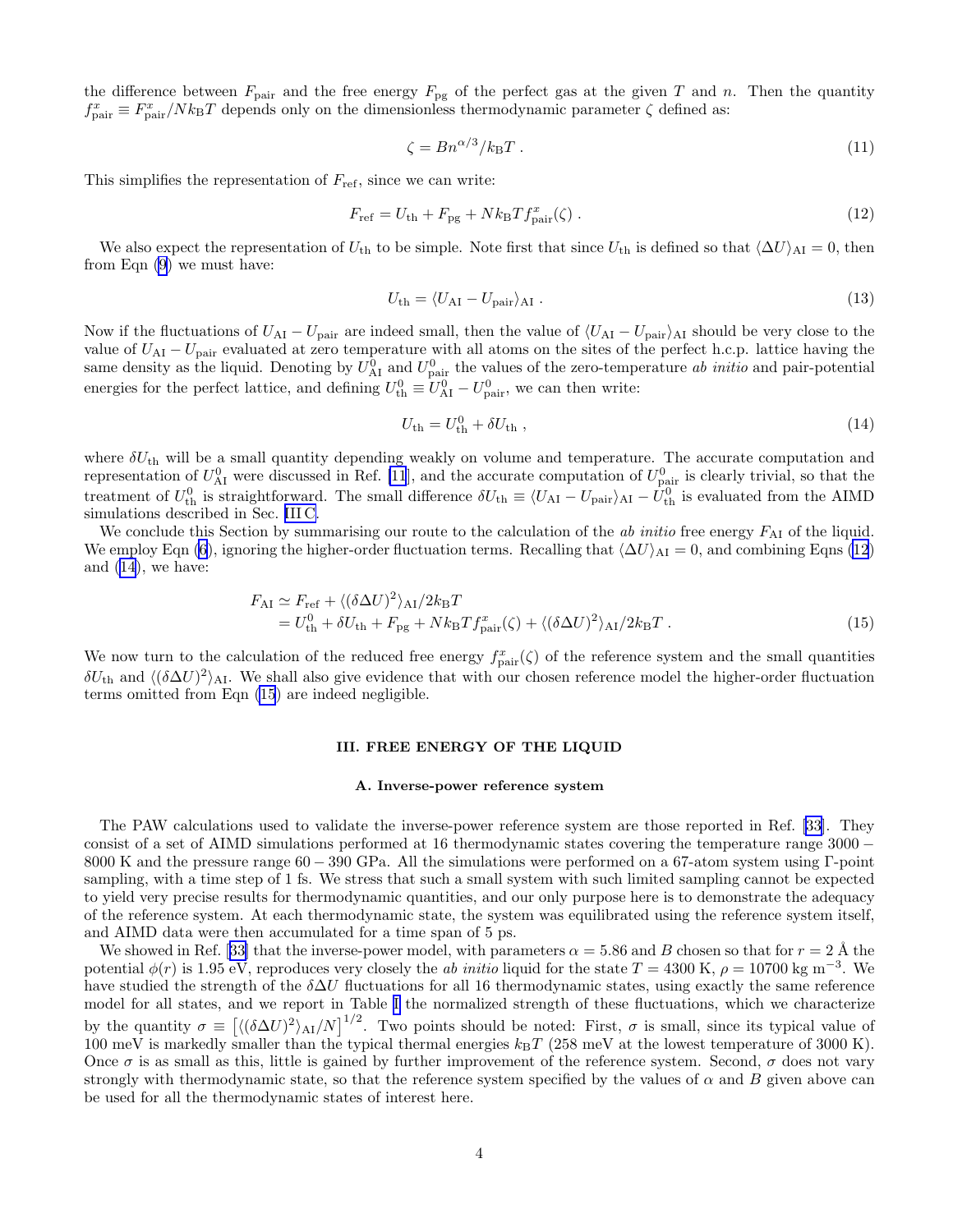<span id="page-3-0"></span>the difference between  $F_{\text{pair}}$  and the free energy  $F_{\text{pg}}$  of the perfect gas at the given T and n. Then the quantity  $f_{\text{pair}}^x \equiv F_{\text{pair}}^x / N k_{\text{B}} T$  depends only on the dimensionless thermodynamic parameter  $\zeta$  defined as:

$$
\zeta = B n^{\alpha/3} / k_{\text{B}} T \,. \tag{11}
$$

This simplifies the representation of  $F_{\text{ref}}$ , since we can write:

$$
F_{\rm ref} = U_{\rm th} + F_{\rm pg} + Nk_{\rm B}T f_{\rm pair}^x(\zeta) \tag{12}
$$

We also expect the representation of  $U_{\text{th}}$  to be simple. Note first that since  $U_{\text{th}}$  is defined so that  $\langle \Delta U \rangle_{\text{AI}} = 0$ , then from Eqn [\(9](#page-2-0)) we must have:

$$
U_{\rm th} = \langle U_{\rm AI} - U_{\rm pair} \rangle_{\rm AI} \tag{13}
$$

Now if the fluctuations of  $U_{\rm AI} - U_{\rm pair}$  are indeed small, then the value of  $\langle U_{\rm AI} - U_{\rm pair} \rangle_{\rm AI}$  should be very close to the value of  $U_{\text{AI}} - U_{\text{pair}}$  evaluated at zero temperature with all atoms on the sites of the perfect h.c.p. lattice having the same density as the liquid. Denoting by  $U_{\rm AI}^0$  and  $U_{\rm pair}^0$  the values of the zero-temperature ab initio and pair-potential energies for the perfect lattice, and defining  $U_{\text{th}}^0 \equiv U_{\text{Al}}^0 - U_{\text{pair}}^0$ , we can then write:

$$
U_{\rm th} = U_{\rm th}^0 + \delta U_{\rm th} \tag{14}
$$

where  $\delta U_{\text{th}}$  will be a small quantity depending weakly on volume and temperature. The accurate computation and representation of  $U_{\rm AI}^0$  were discussed in Ref. [\[11](#page-10-0)], and the accurate computation of  $U_{\rm pair}^0$  is clearly trivial, so that the treatment of  $U_{\text{th}}^0$  is straightforward. The small difference  $\delta U_{\text{th}} \equiv \langle U_{\text{AI}} - U_{\text{pair}} \rangle_{\text{AI}} - U_{\text{th}}^0$  is evaluated from the AIMD simulations described in Sec. [III C.](#page-4-0)

We conclude this Section by summarising our route to the calculation of the *ab initio* free energy  $F_{\rm AI}$  of the liquid. We employ Eqn [\(6](#page-2-0)), ignoring the higher-order fluctuation terms. Recalling that  $\langle \Delta U \rangle_{\rm AI} = 0$ , and combining Eqns (12) and (14), we have:

$$
F_{\rm AI} \simeq F_{\rm ref} + \langle (\delta \Delta U)^2 \rangle_{\rm AI} / 2k_{\rm B}T = U_{\rm th}^4 + \delta U_{\rm th} + F_{\rm pg} + Nk_{\rm B}T f_{\rm pair}^x(\zeta) + \langle (\delta \Delta U)^2 \rangle_{\rm AI} / 2k_{\rm B}T .
$$
\n(15)

We now turn to the calculation of the reduced free energy  $f_{\text{pair}}^x(\zeta)$  of the reference system and the small quantities  $\delta U_{\text{th}}$  and  $\langle (\delta \Delta U)^2 \rangle_{\text{Al}}$ . We shall also give evidence that with our chosen reference model the higher-order fluctuation terms omitted from Eqn (15) are indeed negligible.

#### III. FREE ENERGY OF THE LIQUID

## A. Inverse-power reference system

The PAW calculations used to validate the inverse-power reference system are those reported in Ref. [\[33](#page-10-0)]. They consist of a set of AIMD simulations performed at 16 thermodynamic states covering the temperature range 3000 − 8000 K and the pressure range 60 − 390 GPa. All the simulations were performed on a 67-atom system using Γ-point sampling, with a time step of 1 fs. We stress that such a small system with such limited sampling cannot be expected to yield very precise results for thermodynamic quantities, and our only purpose here is to demonstrate the adequacy of the reference system. At each thermodynamic state, the system was equilibrated using the reference system itself, and AIMD data were then accumulated for a time span of 5 ps.

Weshowed in Ref. [[33\]](#page-10-0) that the inverse-power model, with parameters  $\alpha = 5.86$  and B chosen so that for  $r = 2 \text{ Å}$  the potential  $\phi(r)$  is 1.95 eV, reproduces very closely the ab initio liquid for the state  $T = 4300$  K,  $\rho = 10700$  kg m<sup>-3</sup>. We have studied the strength of the  $\delta \Delta U$  fluctuations for all 16 thermodynamic states, using exactly the same reference model for all states, and we report in Table [I](#page-11-0) the normalized strength of these fluctuations, which we characterize by the quantity  $\sigma \equiv \left[ \langle (\delta \Delta U)^2 \rangle_{\text{AI}} / N \right]^{1/2}$ . Two points should be noted: First,  $\sigma$  is small, since its typical value of 100 meV is markedly smaller than the typical thermal energies  $k_BT$  (258 meV at the lowest temperature of 3000 K). Once  $\sigma$  is as small as this, little is gained by further improvement of the reference system. Second,  $\sigma$  does not vary strongly with thermodynamic state, so that the reference system specified by the values of  $\alpha$  and  $B$  given above can be used for all the thermodynamic states of interest here.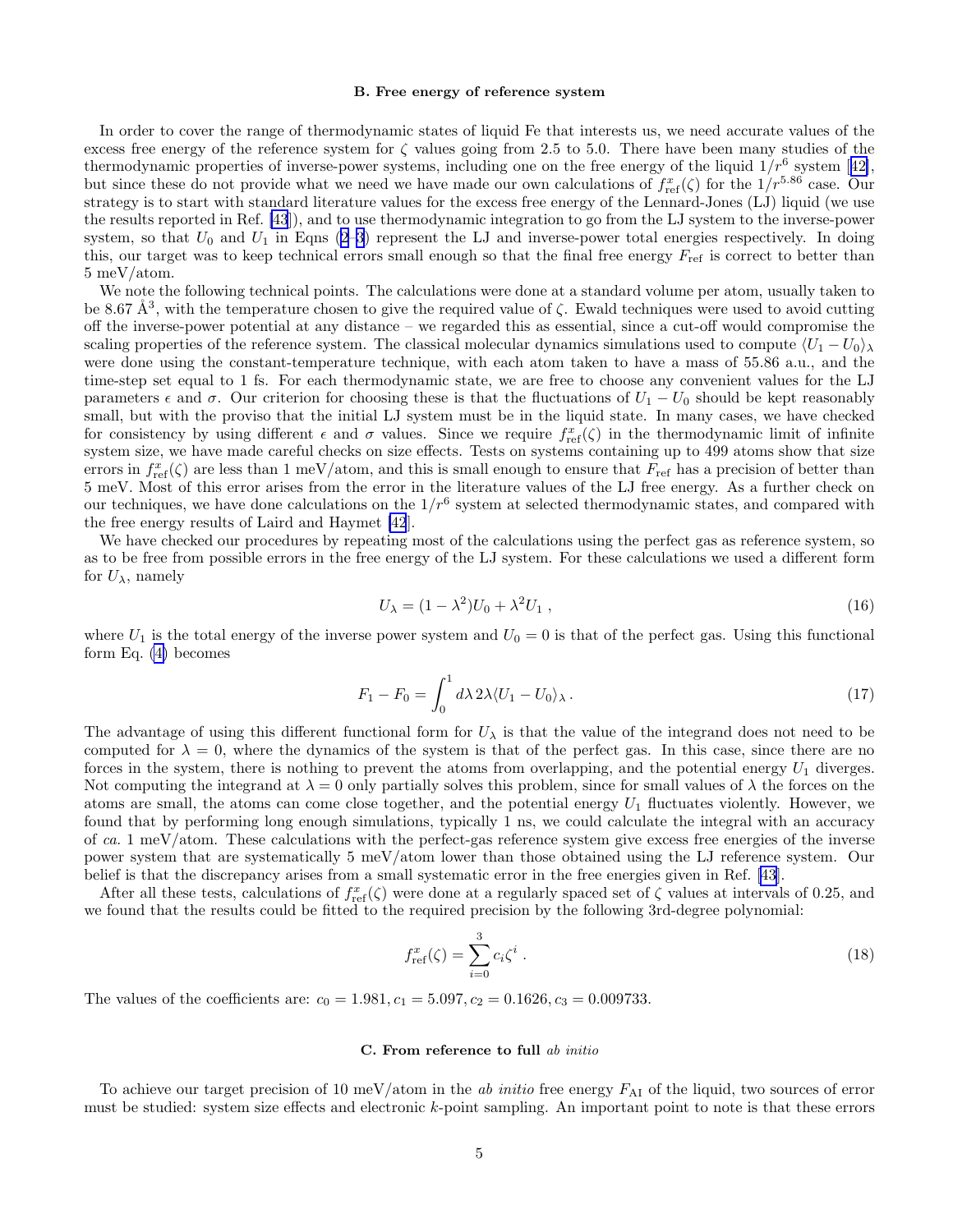#### B. Free energy of reference system

<span id="page-4-0"></span>In order to cover the range of thermodynamic states of liquid Fe that interests us, we need accurate values of the excess free energy of the reference system for  $\zeta$  values going from 2.5 to 5.0. There have been many studies of the thermodynamicproperties of inverse-power systems, including one on the free energy of the liquid  $1/r^6$  system [[42\]](#page-10-0), but since these do not provide what we need we have made our own calculations of  $f_{\text{ref}}^x(\zeta)$  for the  $1/r^{5.86}$  case. Our strategy is to start with standard literature values for the excess free energy of the Lennard-Jones (LJ) liquid (we use the results reported in Ref. [\[43](#page-10-0)]), and to use thermodynamic integration to go from the LJ system to the inverse-power system, so that  $U_0$  and  $U_1$  in Eqns [\(2–3](#page-2-0)) represent the LJ and inverse-power total energies respectively. In doing this, our target was to keep technical errors small enough so that the final free energy  $F_{\text{ref}}$  is correct to better than 5 meV/atom.

We note the following technical points. The calculations were done at a standard volume per atom, usually taken to be 8.67 Å<sup>3</sup>, with the temperature chosen to give the required value of  $\zeta$ . Ewald techniques were used to avoid cutting off the inverse-power potential at any distance – we regarded this as essential, since a cut-off would compromise the scaling properties of the reference system. The classical molecular dynamics simulations used to compute  $\langle U_1 - U_0 \rangle$ were done using the constant-temperature technique, with each atom taken to have a mass of 55.86 a.u., and the time-step set equal to 1 fs. For each thermodynamic state, we are free to choose any convenient values for the LJ parameters  $\epsilon$  and  $\sigma$ . Our criterion for choosing these is that the fluctuations of  $U_1 - U_0$  should be kept reasonably small, but with the proviso that the initial LJ system must be in the liquid state. In many cases, we have checked for consistency by using different  $\epsilon$  and  $\sigma$  values. Since we require  $f_{\text{ref}}^x(\zeta)$  in the thermodynamic limit of infinite system size, we have made careful checks on size effects. Tests on systems containing up to 499 atoms show that size errors in  $f_{\text{ref}}^x(\zeta)$  are less than 1 meV/atom, and this is small enough to ensure that  $F_{\text{ref}}$  has a precision of better than 5 meV. Most of this error arises from the error in the literature values of the LJ free energy. As a further check on our techniques, we have done calculations on the  $1/r^6$  system at selected thermodynamic states, and compared with the free energy results of Laird and Haymet [\[42](#page-10-0)].

We have checked our procedures by repeating most of the calculations using the perfect gas as reference system, so as to be free from possible errors in the free energy of the LJ system. For these calculations we used a different form for  $U_{\lambda}$ , namely

$$
U_{\lambda} = (1 - \lambda^2)U_0 + \lambda^2 U_1 , \qquad (16)
$$

where  $U_1$  is the total energy of the inverse power system and  $U_0 = 0$  is that of the perfect gas. Using this functional form Eq. [\(4\)](#page-2-0) becomes

$$
F_1 - F_0 = \int_0^1 d\lambda \, 2\lambda \langle U_1 - U_0 \rangle_\lambda \,. \tag{17}
$$

The advantage of using this different functional form for  $U_\lambda$  is that the value of the integrand does not need to be computed for  $\lambda = 0$ , where the dynamics of the system is that of the perfect gas. In this case, since there are no forces in the system, there is nothing to prevent the atoms from overlapping, and the potential energy  $U_1$  diverges. Not computing the integrand at  $\lambda = 0$  only partially solves this problem, since for small values of  $\lambda$  the forces on the atoms are small, the atoms can come close together, and the potential energy  $U_1$  fluctuates violently. However, we found that by performing long enough simulations, typically 1 ns, we could calculate the integral with an accuracy of ca. 1 meV/atom. These calculations with the perfect-gas reference system give excess free energies of the inverse power system that are systematically 5 meV/atom lower than those obtained using the LJ reference system. Our belief is that the discrepancy arises from a small systematic error in the free energies given in Ref. [\[43](#page-10-0)].

After all these tests, calculations of  $f_{ref}^x(\zeta)$  were done at a regularly spaced set of  $\zeta$  values at intervals of 0.25, and we found that the results could be fitted to the required precision by the following 3rd-degree polynomial:

$$
f_{\text{ref}}^{x}(\zeta) = \sum_{i=0}^{3} c_{i} \zeta^{i} . \qquad (18)
$$

The values of the coefficients are:  $c_0 = 1.981, c_1 = 5.097, c_2 = 0.1626, c_3 = 0.009733$ .

# C. From reference to full ab initio

To achieve our target precision of 10 meV/atom in the ab initio free energy  $F_{\rm AI}$  of the liquid, two sources of error must be studied: system size effects and electronic k-point sampling. An important point to note is that these errors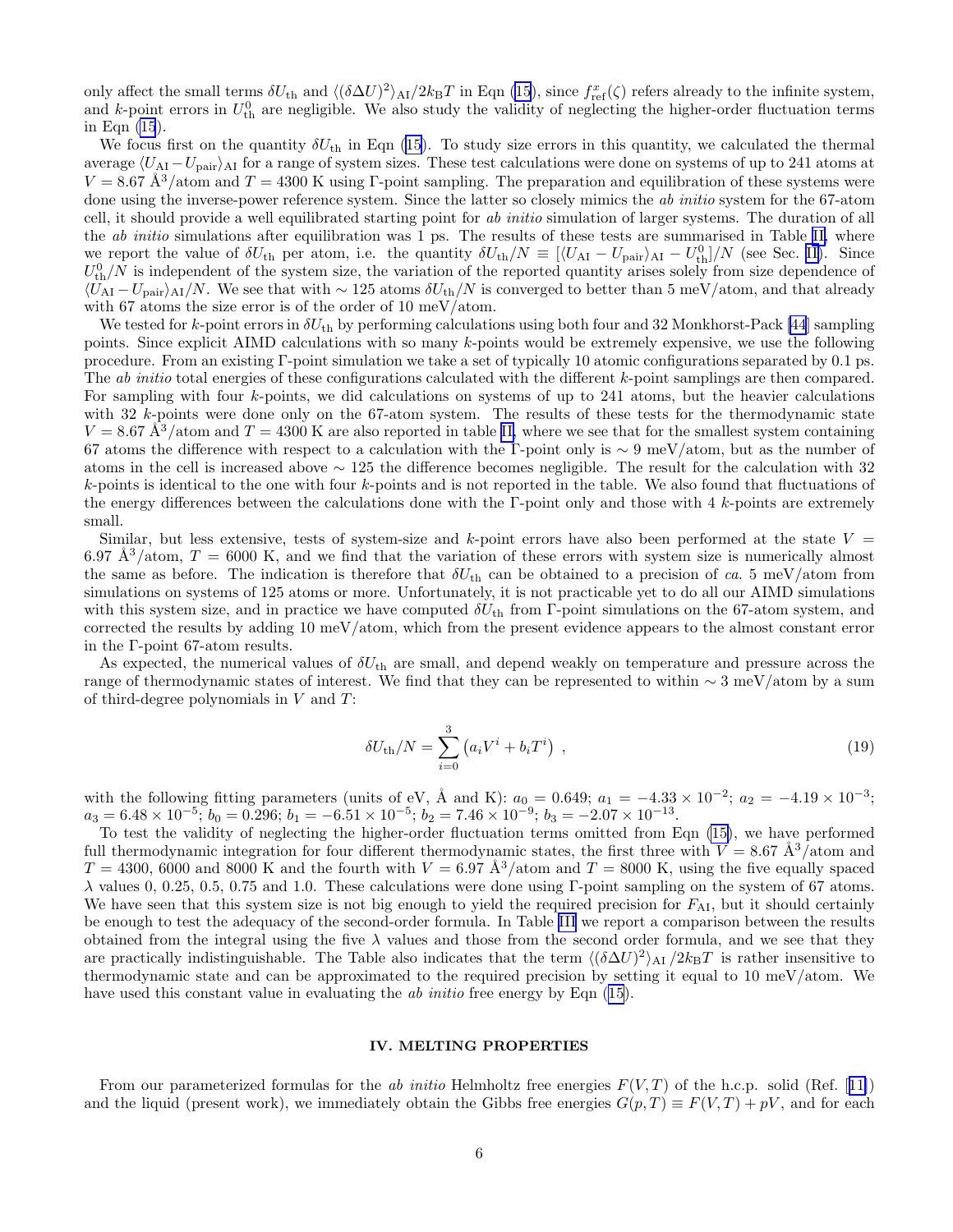<span id="page-5-0"></span>only affect the small terms  $\delta U_{\text{th}}$  and  $\langle (\delta \Delta U)^2 \rangle_{\text{Al}}/2k_{\text{B}}T$  in Eqn [\(15](#page-3-0)), since  $f_{\text{ref}}^x(\zeta)$  refers already to the infinite system, and k-point errors in  $U_{\text{th}}^0$  are negligible. We also study the validity of neglecting the higher-order fluctuation terms in Eqn [\(15](#page-3-0)).

Wefocus first on the quantity  $\delta U_{\text{th}}$  in Eqn ([15\)](#page-3-0). To study size errors in this quantity, we calculated the thermal average  $\langle U_{\rm AI} - U_{\rm pair} \rangle_{\rm AI}$  for a range of system sizes. These test calculations were done on systems of up to 241 atoms at  $V = 8.67 \text{ Å}^3/\text{atom}$  and  $T = 4300 \text{ K}$  using Γ-point sampling. The preparation and equilibration of these systems were done using the inverse-power reference system. Since the latter so closely mimics the ab initio system for the 67-atom cell, it should provide a well equilibrated starting point for ab initio simulation of larger systems. The duration of all the *ab initio* simulations after equilibration was 1 ps. The results of these tests are summarised in Table [II,](#page-11-0) where we report the value of  $\delta U_{\text{th}}$  per atom, i.e. the quantity  $\delta U_{\text{th}}/N \equiv \left[ \langle U_{\text{AI}} - U_{\text{pair}} \rangle_{\text{AI}} - U_{\text{th}}^0 \right] / N$  (see Sec. [II\)](#page-1-0). Since  $U_{\text{th}}^{0}/N$  is independent of the system size, the variation of the reported quantity arises solely from size dependence of  $\langle U_{\rm AI} - U_{\rm pair} \rangle_{\rm AI}/N$ . We see that with ~ 125 atoms  $\delta U_{\rm th}/N$  is converged to better than 5 meV/atom, and that already with 67 atoms the size error is of the order of 10 meV/atom.

We tested for k-point errors in  $\delta U_{\text{th}}$  by performing calculations using both four and 32 Monkhorst-Pack [\[44](#page-10-0)] sampling points. Since explicit AIMD calculations with so many k-points would be extremely expensive, we use the following procedure. From an existing Γ-point simulation we take a set of typically 10 atomic configurations separated by 0.1 ps. The *ab initio* total energies of these configurations calculated with the different k-point samplings are then compared. For sampling with four k-points, we did calculations on systems of up to 241 atoms, but the heavier calculations with 32 k-points were done only on the 67-atom system. The results of these tests for the thermodynamic state  $V = 8.67 \text{ Å}^3/\text{atom}$  and  $T = 4300 \text{ K}$  are also reported in table [II,](#page-11-0) where we see that for the smallest system containing 67 atoms the difference with respect to a calculation with the Γ-point only is  $\sim 9 \text{ meV} / \text{atom}$ , but as the number of atoms in the cell is increased above ∼ 125 the difference becomes negligible. The result for the calculation with 32  $k$ -points is identical to the one with four  $k$ -points and is not reported in the table. We also found that fluctuations of the energy differences between the calculations done with the  $\Gamma$ -point only and those with 4 k-points are extremely small.

Similar, but less extensive, tests of system-size and  $k$ -point errors have also been performed at the state  $V =$ 6.97 Å<sup>3</sup>/atom,  $T = 6000$  K, and we find that the variation of these errors with system size is numerically almost the same as before. The indication is therefore that  $\delta U_{\text{th}}$  can be obtained to a precision of ca. 5 meV/atom from simulations on systems of 125 atoms or more. Unfortunately, it is not practicable yet to do all our AIMD simulations with this system size, and in practice we have computed  $\delta U_{\text{th}}$  from Γ-point simulations on the 67-atom system, and corrected the results by adding 10 meV/atom, which from the present evidence appears to the almost constant error in the Γ-point 67-atom results.

As expected, the numerical values of  $\delta U_{\text{th}}$  are small, and depend weakly on temperature and pressure across the range of thermodynamic states of interest. We find that they can be represented to within ∼ 3 meV/atom by a sum of third-degree polynomials in  $V$  and  $T$ :

$$
\delta U_{\rm th}/N = \sum_{i=0}^{3} (a_i V^i + b_i T^i) \tag{19}
$$

with the following fitting parameters (units of eV, Å and K):  $a_0 = 0.649$ ;  $a_1 = -4.33 \times 10^{-2}$ ;  $a_2 = -4.19 \times 10^{-3}$ ;  $a_3 = 6.48 \times 10^{-5}$ ;  $b_0 = 0.296$ ;  $b_1 = -6.51 \times 10^{-5}$ ;  $b_2 = 7.46 \times 10^{-9}$ ;  $b_3 = -2.07 \times 10^{-13}$ .

To test the validity of neglecting the higher-order fluctuation terms omitted from Eqn [\(15\)](#page-3-0), we have performed full thermodynamic integration for four different thermodynamic states, the first three with  $V = 8.67 \text{ Å}^3/\text{atom}$  and  $T = 4300, 6000$  and 8000 K and the fourth with  $V = 6.97 \text{ Å}^3/\text{atom}$  and  $T = 8000 \text{ K}$ , using the five equally spaced λ values 0, 0.25, 0.5, 0.75 and 1.0. These calculations were done using Γ-point sampling on the system of 67 atoms. We have seen that this system size is not big enough to yield the required precision for  $F_{\rm AI}$ , but it should certainly be enough to test the adequacy of the second-order formula. In Table [III](#page-11-0) we report a comparison between the results obtained from the integral using the five  $\lambda$  values and those from the second order formula, and we see that they are practically indistinguishable. The Table also indicates that the term  $\langle (\delta \Delta U)^2 \rangle_{\rm AI} / 2k_{\rm B}T$  is rather insensitive to thermodynamic state and can be approximated to the required precision by setting it equal to 10 meV/atom. We have used this constant value in evaluating the *ab initio* free energy by Eqn [\(15](#page-3-0)).

## IV. MELTING PROPERTIES

Fromour parameterized formulas for the ab initio Helmholtz free energies  $F(V,T)$  of the h.c.p. solid (Ref. [[11\]](#page-10-0)) and the liquid (present work), we immediately obtain the Gibbs free energies  $G(p,T) \equiv F(V,T) + pV$ , and for each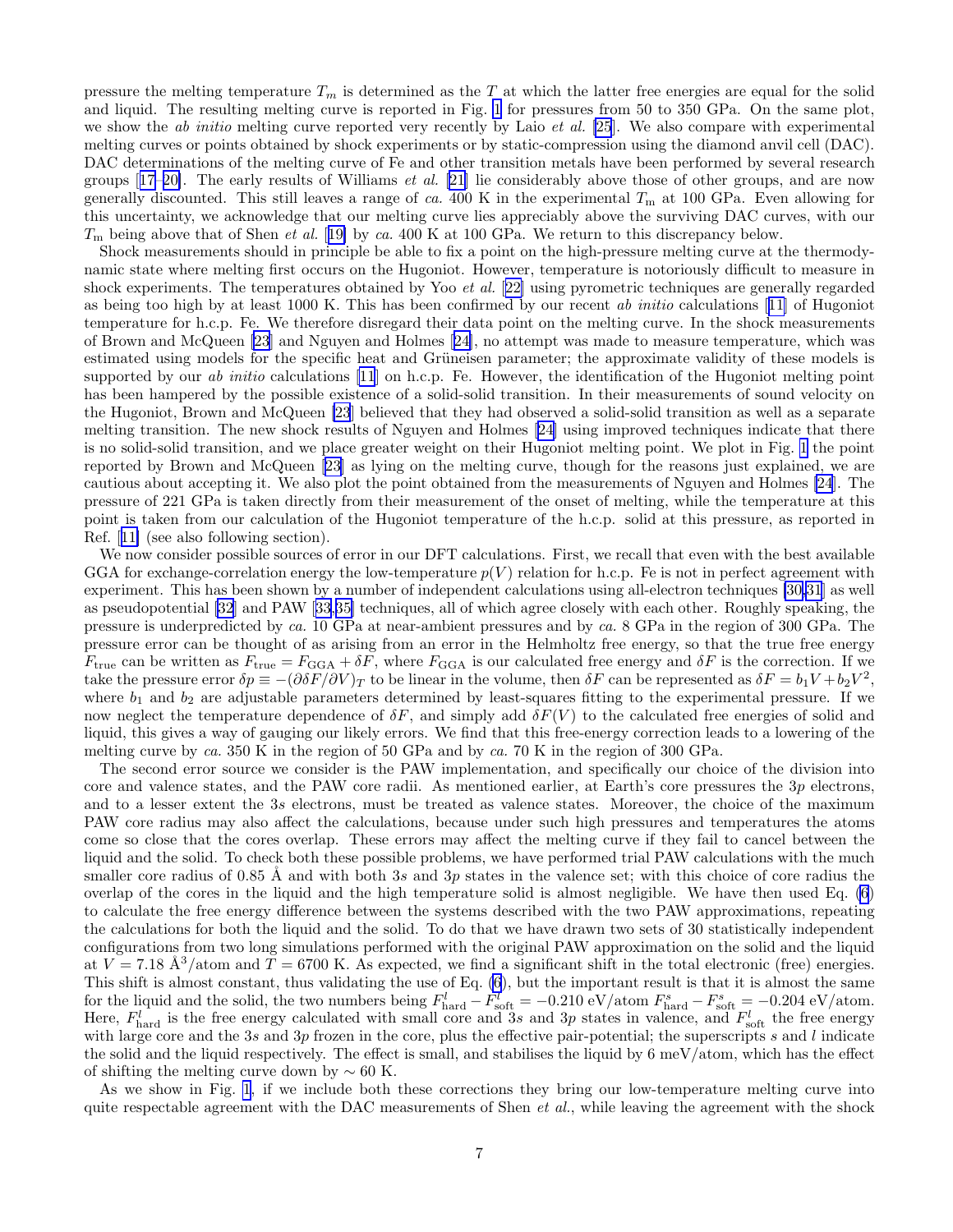pressure the melting temperature  $T_m$  is determined as the T at which the latter free energies are equal for the solid and liquid. The resulting melting curve is reported in Fig. [1](#page-13-0) for pressures from 50 to 350 GPa. On the same plot, we show the *ab initio* melting curve reported very recently by Laio *et al.* [\[25](#page-10-0)]. We also compare with experimental melting curves or points obtained by shock experiments or by static-compression using the diamond anvil cell (DAC). DAC determinations of the melting curve of Fe and other transition metals have been performed by several research groups[[17–20\]](#page-10-0). The early results of Williams et al. [[21\]](#page-10-0) lie considerably above those of other groups, and are now generally discounted. This still leaves a range of ca. 400 K in the experimental  $T<sub>m</sub>$  at 100 GPa. Even allowing for this uncertainty, we acknowledge that our melting curve lies appreciably above the surviving DAC curves, with our  $T<sub>m</sub>$  being above that of Shen *et al.* [[19\]](#page-10-0) by ca. 400 K at 100 GPa. We return to this discrepancy below.

Shock measurements should in principle be able to fix a point on the high-pressure melting curve at the thermodynamic state where melting first occurs on the Hugoniot. However, temperature is notoriously difficult to measure in shock experiments. The temperatures obtained by Yoo *et al.* [[22\]](#page-10-0) using pyrometric techniques are generally regarded as being too high by at least 1000 K. This has been confirmed by our recent ab initio calculations[[11\]](#page-10-0) of Hugoniot temperature for h.c.p. Fe. We therefore disregard their data point on the melting curve. In the shock measurements of Brown and McQueen [\[23](#page-10-0)] and Nguyen and Holmes[[24\]](#page-10-0), no attempt was made to measure temperature, which was estimated using models for the specific heat and Grüneisen parameter; the approximate validity of these models is supported by our ab initio calculations [\[11](#page-10-0)] on h.c.p. Fe. However, the identification of the Hugoniot melting point has been hampered by the possible existence of a solid-solid transition. In their measurements of sound velocity on the Hugoniot, Brown and McQueen [\[23](#page-10-0)] believed that they had observed a solid-solid transition as well as a separate melting transition. The new shock results of Nguyen and Holmes[[24\]](#page-10-0) using improved techniques indicate that there is no solid-solid transition, and we place greater weight on their Hugoniot melting point. We plot in Fig. [1](#page-13-0) the point reported by Brown and McQueen [\[23](#page-10-0)] as lying on the melting curve, though for the reasons just explained, we are cautious about accepting it. We also plot the point obtained from the measurements of Nguyen and Holmes [\[24](#page-10-0)]. The pressure of 221 GPa is taken directly from their measurement of the onset of melting, while the temperature at this point is taken from our calculation of the Hugoniot temperature of the h.c.p. solid at this pressure, as reported in Ref.[[11\]](#page-10-0) (see also following section).

We now consider possible sources of error in our DFT calculations. First, we recall that even with the best available GGA for exchange-correlation energy the low-temperature  $p(V)$  relation for h.c.p. Fe is not in perfect agreement with experiment. This has been shown by a number of independent calculations using all-electron techniques [\[30,31](#page-10-0)] as well as pseudopotential [\[32](#page-10-0)] and PAW[[33,35\]](#page-10-0) techniques, all of which agree closely with each other. Roughly speaking, the pressure is underpredicted by ca. 10 GPa at near-ambient pressures and by ca. 8 GPa in the region of 300 GPa. The pressure error can be thought of as arising from an error in the Helmholtz free energy, so that the true free energy  $F_{\text{true}}$  can be written as  $F_{\text{true}} = F_{\text{GGA}} + \delta F$ , where  $F_{\text{GGA}}$  is our calculated free energy and  $\delta F$  is the correction. If we take the pressure error  $\delta p \equiv -(\partial \delta F/\partial V)_T$  to be linear in the volume, then  $\delta F$  can be represented as  $\delta F = b_1 V + b_2 V^2$ , where  $b_1$  and  $b_2$  are adjustable parameters determined by least-squares fitting to the experimental pressure. If we now neglect the temperature dependence of  $\delta F$ , and simply add  $\delta F(V)$  to the calculated free energies of solid and liquid, this gives a way of gauging our likely errors. We find that this free-energy correction leads to a lowering of the melting curve by ca. 350 K in the region of 50 GPa and by ca. 70 K in the region of 300 GPa.

The second error source we consider is the PAW implementation, and specifically our choice of the division into core and valence states, and the PAW core radii. As mentioned earlier, at Earth's core pressures the 3p electrons, and to a lesser extent the 3s electrons, must be treated as valence states. Moreover, the choice of the maximum PAW core radius may also affect the calculations, because under such high pressures and temperatures the atoms come so close that the cores overlap. These errors may affect the melting curve if they fail to cancel between the liquid and the solid. To check both these possible problems, we have performed trial PAW calculations with the much smaller core radius of 0.85 Å and with both 3s and 3p states in the valence set; with this choice of core radius the overlap of the cores in the liquid and the high temperature solid is almost negligible. We have then used Eq. [\(6](#page-2-0)) to calculate the free energy difference between the systems described with the two PAW approximations, repeating the calculations for both the liquid and the solid. To do that we have drawn two sets of 30 statistically independent configurations from two long simulations performed with the original PAW approximation on the solid and the liquid at  $V = 7.18 \text{ Å}^3/\text{atom}$  and  $T = 6700 \text{ K}$ . As expected, we find a significant shift in the total electronic (free) energies. This shift is almost constant, thus validating the use of Eq. [\(6](#page-2-0)), but the important result is that it is almost the same for the liquid and the solid, the two numbers being  $F_{\text{hard}}^l - F_{\text{soft}}^l = -0.210 \text{ eV/atom}$   $F_{\text{hard}}^s - F_{\text{soft}}^s = -0.204 \text{ eV/atom}$ . Here,  $F_{\text{hard}}^l$  is the free energy calculated with small core and 3s and 3p states in valence, and  $F_{\text{soft}}^l$  the free energy with large core and the 3s and 3p frozen in the core, plus the effective pair-potential; the superscripts s and  $l$  indicate the solid and the liquid respectively. The effect is small, and stabilises the liquid by 6 meV/atom, which has the effect of shifting the melting curve down by  $\sim 60$  K.

As we show in Fig. [1](#page-13-0), if we include both these corrections they bring our low-temperature melting curve into quite respectable agreement with the DAC measurements of Shen *et al.*, while leaving the agreement with the shock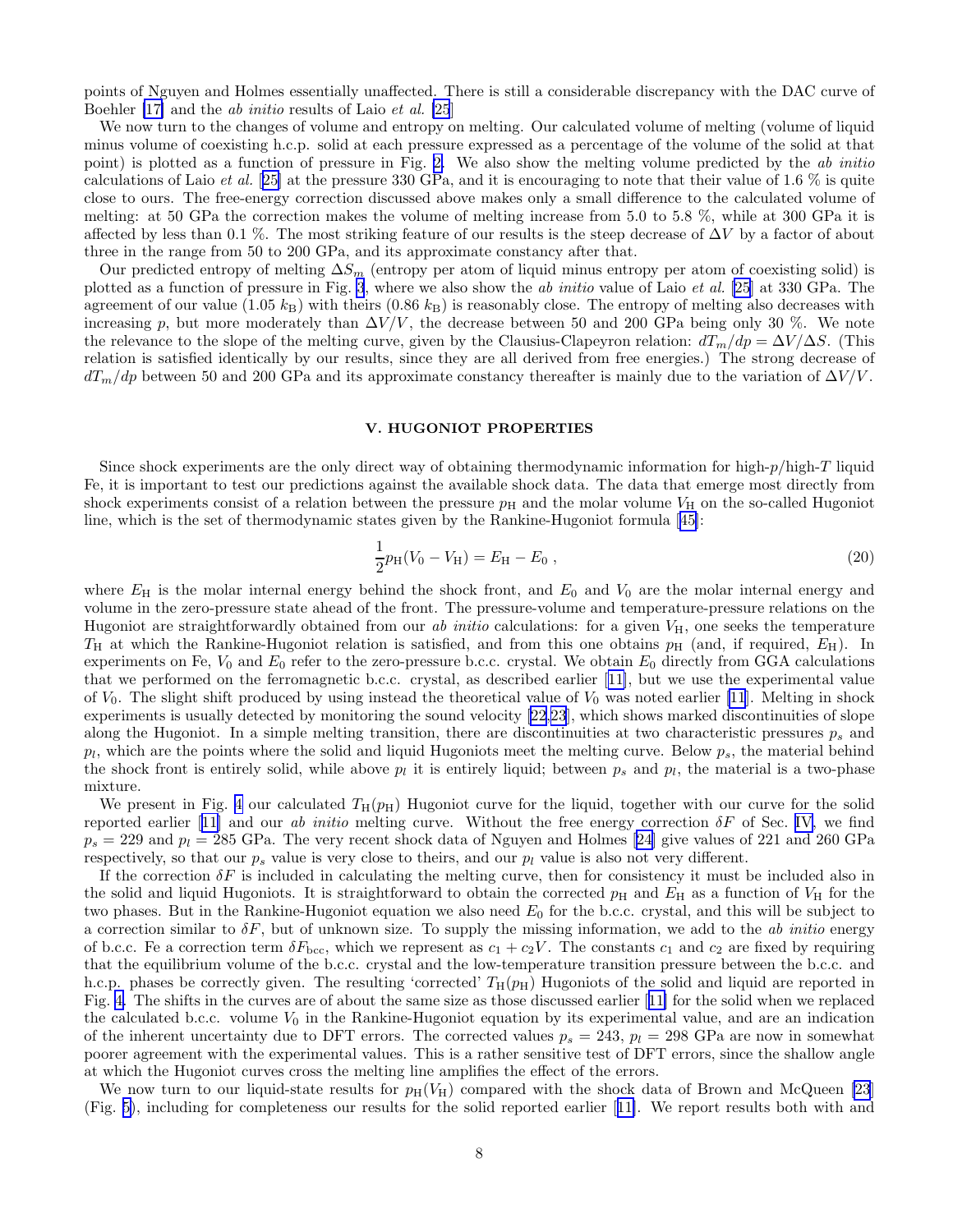<span id="page-7-0"></span>points of Nguyen and Holmes essentially unaffected. There is still a considerable discrepancy with the DAC curve of Boehler [\[17\]](#page-10-0) and the ab initio results of Laio et al. [\[25](#page-10-0)]

We now turn to the changes of volume and entropy on melting. Our calculated volume of melting (volume of liquid minus volume of coexisting h.c.p. solid at each pressure expressed as a percentage of the volume of the solid at that point) is plotted as a function of pressure in Fig. [2.](#page-13-0) We also show the melting volume predicted by the ab initio calculations of Laio *et al.* [[25\]](#page-10-0) at the pressure 330 GPa, and it is encouraging to note that their value of 1.6  $\%$  is quite close to ours. The free-energy correction discussed above makes only a small difference to the calculated volume of melting: at 50 GPa the correction makes the volume of melting increase from 5.0 to 5.8 %, while at 300 GPa it is affected by less than 0.1 %. The most striking feature of our results is the steep decrease of  $\Delta V$  by a factor of about three in the range from 50 to 200 GPa, and its approximate constancy after that.

Our predicted entropy of melting  $\Delta S_m$  (entropy per atom of liquid minus entropy per atom of coexisting solid) is plotted as a function of pressure in Fig. [3](#page-14-0), where we also show the ab initio value of Laio et al. [\[25](#page-10-0)] at 330 GPa. The agreement of our value (1.05  $k_B$ ) with theirs (0.86  $k_B$ ) is reasonably close. The entropy of melting also decreases with increasing p, but more moderately than  $\Delta V/V$ , the decrease between 50 and 200 GPa being only 30 %. We note the relevance to the slope of the melting curve, given by the Clausius-Clapeyron relation:  $dT_m/dp = \Delta V/\Delta S$ . (This relation is satisfied identically by our results, since they are all derived from free energies.) The strong decrease of  $dT_m/dp$  between 50 and 200 GPa and its approximate constancy thereafter is mainly due to the variation of  $\Delta V/V$ .

# V. HUGONIOT PROPERTIES

Since shock experiments are the only direct way of obtaining thermodynamic information for high-p/high-T liquid Fe, it is important to test our predictions against the available shock data. The data that emerge most directly from shock experiments consist of a relation between the pressure  $p<sub>H</sub>$  and the molar volume  $V<sub>H</sub>$  on the so-called Hugoniot line, which is the set of thermodynamic states given by the Rankine-Hugoniot formula[[45](#page-10-0)]:

$$
\frac{1}{2}p_H(V_0 - V_H) = E_H - E_0 , \qquad (20)
$$

where  $E_{\rm H}$  is the molar internal energy behind the shock front, and  $E_0$  and  $V_0$  are the molar internal energy and volume in the zero-pressure state ahead of the front. The pressure-volume and temperature-pressure relations on the Hugoniot are straightforwardly obtained from our ab initio calculations: for a given  $V_H$ , one seeks the temperature  $T_H$  at which the Rankine-Hugoniot relation is satisfied, and from this one obtains  $p_H$  (and, if required,  $E_H$ ). In experiments on Fe,  $V_0$  and  $E_0$  refer to the zero-pressure b.c.c. crystal. We obtain  $E_0$  directly from GGA calculations that we performed on the ferromagnetic b.c.c. crystal, as described earlier[[11\]](#page-10-0), but we use the experimental value of  $V_0$ . The slight shift produced by using instead the theoretical value of  $V_0$  was noted earlier [\[11](#page-10-0)]. Melting in shock experiments is usually detected by monitoring the sound velocity [\[22,23](#page-10-0)], which shows marked discontinuities of slope along the Hugoniot. In a simple melting transition, there are discontinuities at two characteristic pressures  $p_s$  and  $p_l$ , which are the points where the solid and liquid Hugoniots meet the melting curve. Below  $p_s$ , the material behind the shock front is entirely solid, while above  $p_l$  it is entirely liquid; between  $p_s$  and  $p_l$ , the material is a two-phase mixture.

We present in Fig. [4](#page-14-0) our calculated  $T_H(p_H)$  Hugoniot curve for the liquid, together with our curve for the solid reportedearlier [[11\]](#page-10-0) and our ab initio melting curve. Without the free energy correction  $\delta F$  of Sec. [IV](#page-5-0), we find  $p_s = 229$  and  $p_l = 285$  GPa. The very recent shock data of Nguyen and Holmes [\[24](#page-10-0)] give values of 221 and 260 GPa respectively, so that our  $p_s$  value is very close to theirs, and our  $p_l$  value is also not very different.

If the correction  $\delta F$  is included in calculating the melting curve, then for consistency it must be included also in the solid and liquid Hugoniots. It is straightforward to obtain the corrected  $p_H$  and  $E_H$  as a function of  $V_H$  for the two phases. But in the Rankine-Hugoniot equation we also need  $E_0$  for the b.c.c. crystal, and this will be subject to a correction similar to  $\delta F$ , but of unknown size. To supply the missing information, we add to the ab initio energy of b.c.c. Fe a correction term  $\delta F_{\text{bcc}}$ , which we represent as  $c_1 + c_2V$ . The constants  $c_1$  and  $c_2$  are fixed by requiring that the equilibrium volume of the b.c.c. crystal and the low-temperature transition pressure between the b.c.c. and h.c.p. phases be correctly given. The resulting 'corrected'  $T_H(p_H)$  Hugoniots of the solid and liquid are reported in Fig. [4.](#page-14-0) The shifts in the curves are of about the same size as those discussed earlier[[11\]](#page-10-0) for the solid when we replaced the calculated b.c.c. volume  $V_0$  in the Rankine-Hugoniot equation by its experimental value, and are an indication of the inherent uncertainty due to DFT errors. The corrected values  $p_s = 243$ ,  $p_l = 298$  GPa are now in somewhat poorer agreement with the experimental values. This is a rather sensitive test of DFT errors, since the shallow angle at which the Hugoniot curves cross the melting line amplifies the effect of the errors.

We now turn to our liquid-state results for  $p_H(V_H)$  compared with the shock data of Brown and McQueen [\[23](#page-10-0)] (Fig. [5\)](#page-15-0), including for completeness our results for the solid reported earlier[[11\]](#page-10-0). We report results both with and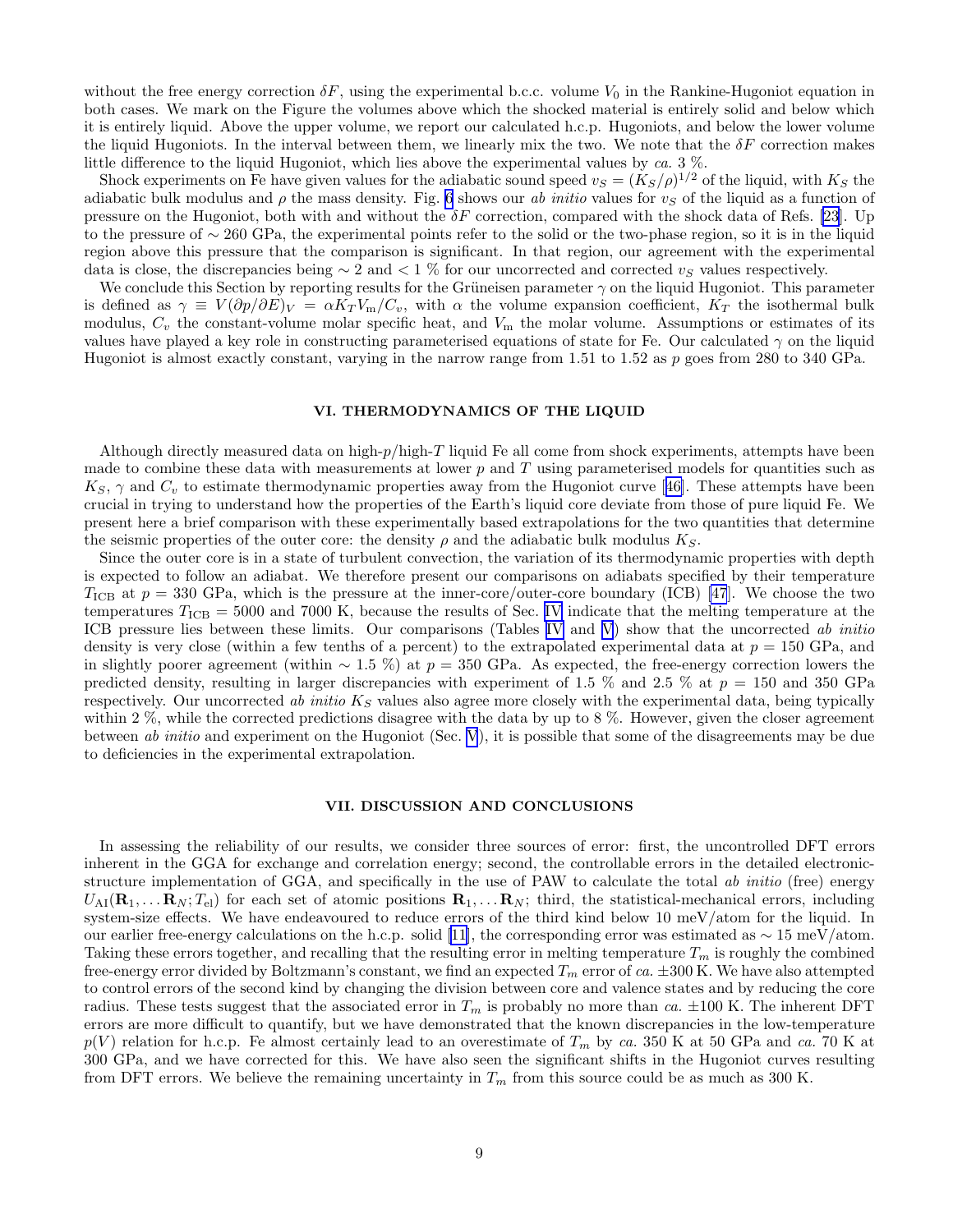<span id="page-8-0"></span>without the free energy correction  $\delta F$ , using the experimental b.c.c. volume  $V_0$  in the Rankine-Hugoniot equation in both cases. We mark on the Figure the volumes above which the shocked material is entirely solid and below which it is entirely liquid. Above the upper volume, we report our calculated h.c.p. Hugoniots, and below the lower volume the liquid Hugoniots. In the interval between them, we linearly mix the two. We note that the  $\delta F$  correction makes little difference to the liquid Hugoniot, which lies above the experimental values by ca. 3 %.

Shock experiments on Fe have given values for the adiabatic sound speed  $v_S = (K_S/\rho)^{1/2}$  of the liquid, with  $K_S$  the adiabatic bulk modulus and  $\rho$  the mass density. Fig. [6](#page-15-0) shows our ab initio values for  $v_S$  of the liquid as a function of pressure on the Hugoniot, both with and without the  $\delta F$  correction, compared with the shock data of Refs. [\[23](#page-10-0)]. Up to the pressure of ∼ 260 GPa, the experimental points refer to the solid or the two-phase region, so it is in the liquid region above this pressure that the comparison is significant. In that region, our agreement with the experimental data is close, the discrepancies being  $\sim 2$  and  $\lt 1\%$  for our uncorrected and corrected v<sub>S</sub> values respectively.

We conclude this Section by reporting results for the Grüneisen parameter  $\gamma$  on the liquid Hugoniot. This parameter is defined as  $\gamma \equiv V(\partial p/\partial E)_V = \alpha K_T V_m/C_v$ , with  $\alpha$  the volume expansion coefficient,  $K_T$  the isothermal bulk modulus,  $C_v$  the constant-volume molar specific heat, and  $V_m$  the molar volume. Assumptions or estimates of its values have played a key role in constructing parameterised equations of state for Fe. Our calculated  $\gamma$  on the liquid Hugoniot is almost exactly constant, varying in the narrow range from 1.51 to 1.52 as p goes from 280 to 340 GPa.

# VI. THERMODYNAMICS OF THE LIQUID

Although directly measured data on high-p/high-T liquid Fe all come from shock experiments, attempts have been made to combine these data with measurements at lower  $p$  and  $T$  using parameterised models for quantities such as  $K_S$ , $\gamma$  and  $C_v$  to estimate thermodynamic properties away from the Hugoniot curve [[46\]](#page-10-0). These attempts have been crucial in trying to understand how the properties of the Earth's liquid core deviate from those of pure liquid Fe. We present here a brief comparison with these experimentally based extrapolations for the two quantities that determine the seismic properties of the outer core: the density  $\rho$  and the adiabatic bulk modulus  $K_S$ .

Since the outer core is in a state of turbulent convection, the variation of its thermodynamic properties with depth is expected to follow an adiabat. We therefore present our comparisons on adiabats specified by their temperature  $T_{\text{ICB}}$  at  $p = 330$  GPa, which is the pressure at the inner-core/outer-core boundary (ICB) [\[47](#page-10-0)]. We choose the two temperatures  $T_{\text{ICB}} = 5000$  and 7000 K, because the results of Sec. [IV](#page-5-0) indicate that the melting temperature at the ICB pressure lies between these limits. Our comparisons (Tables [IV](#page-12-0) and [V](#page-12-0)) show that the uncorrected ab initio density is very close (within a few tenths of a percent) to the extrapolated experimental data at  $p = 150$  GPa, and in slightly poorer agreement (within  $\sim 1.5 \%$ ) at  $p = 350$  GPa. As expected, the free-energy correction lowers the predicted density, resulting in larger discrepancies with experiment of 1.5 % and 2.5 % at  $p = 150$  and 350 GPa respectively. Our uncorrected ab initio  $K_S$  values also agree more closely with the experimental data, being typically within 2 %, while the corrected predictions disagree with the data by up to 8 %. However, given the closer agreement between ab initio and experiment on the Hugoniot (Sec. [V](#page-7-0)), it is possible that some of the disagreements may be due to deficiencies in the experimental extrapolation.

## VII. DISCUSSION AND CONCLUSIONS

In assessing the reliability of our results, we consider three sources of error: first, the uncontrolled DFT errors inherent in the GGA for exchange and correlation energy; second, the controllable errors in the detailed electronicstructure implementation of GGA, and specifically in the use of PAW to calculate the total ab initio (free) energy  $U_{\text{AI}}(\mathbf{R}_1, \ldots, \mathbf{R}_N; T_{\text{el}})$  for each set of atomic positions  $\mathbf{R}_1, \ldots, \mathbf{R}_N$ ; third, the statistical-mechanical errors, including system-size effects. We have endeavoured to reduce errors of the third kind below 10 meV/atom for the liquid. In ourearlier free-energy calculations on the h.c.p. solid [[11](#page-10-0)], the corresponding error was estimated as  $\sim 15 \text{ meV}$ /atom. Taking these errors together, and recalling that the resulting error in melting temperature  $T_m$  is roughly the combined free-energy error divided by Boltzmann's constant, we find an expected  $T_m$  error of ca.  $\pm 300$  K. We have also attempted to control errors of the second kind by changing the division between core and valence states and by reducing the core radius. These tests suggest that the associated error in  $T_m$  is probably no more than ca.  $\pm 100$  K. The inherent DFT errors are more difficult to quantify, but we have demonstrated that the known discrepancies in the low-temperature  $p(V)$  relation for h.c.p. Fe almost certainly lead to an overestimate of  $T_m$  by ca. 350 K at 50 GPa and ca. 70 K at 300 GPa, and we have corrected for this. We have also seen the significant shifts in the Hugoniot curves resulting from DFT errors. We believe the remaining uncertainty in  $T_m$  from this source could be as much as 300 K.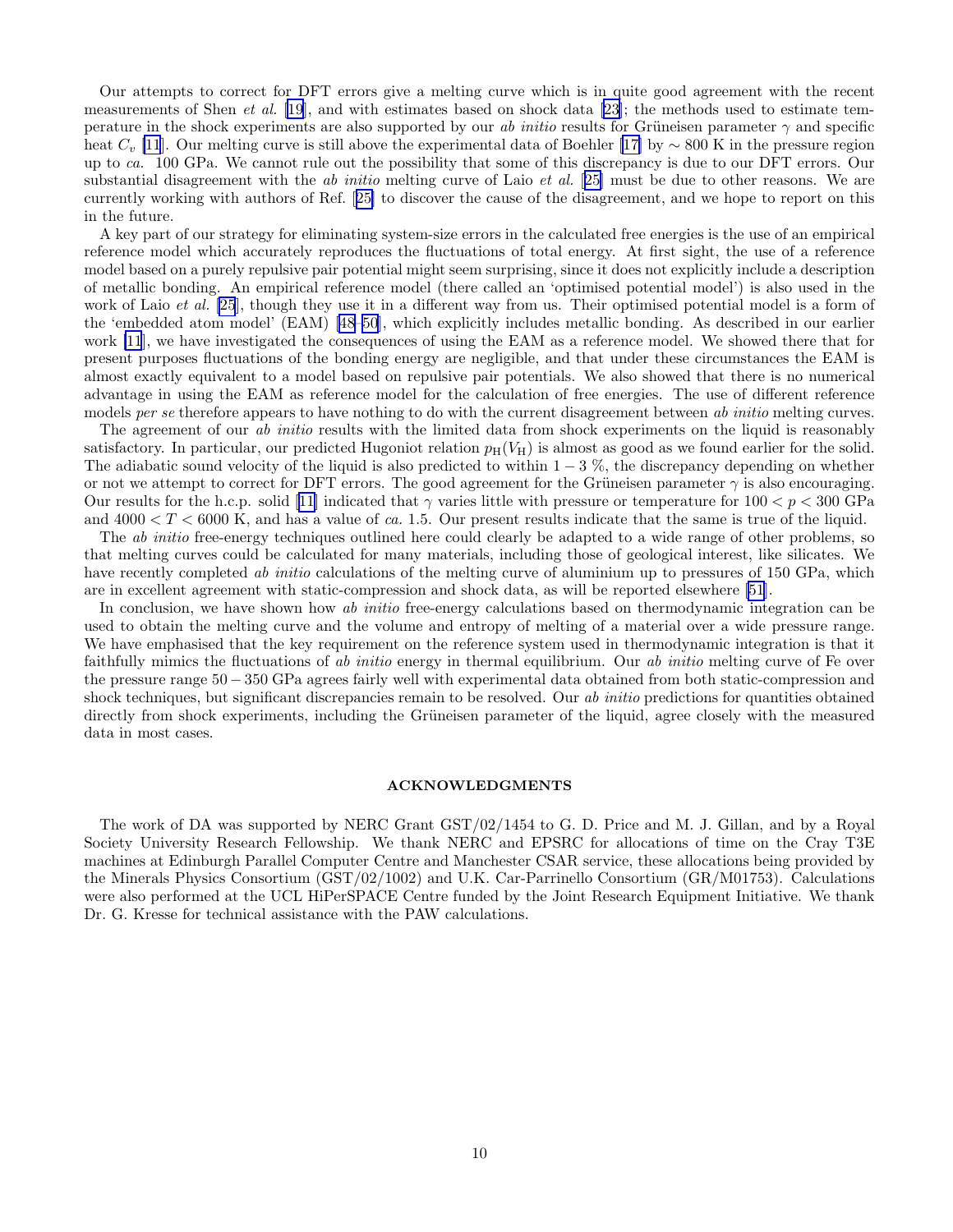Our attempts to correct for DFT errors give a melting curve which is in quite good agreement with the recent measurements of Shen *et al.* [[19](#page-10-0)], and with estimates based on shock data [\[23](#page-10-0)]; the methods used to estimate temperature in the shock experiments are also supported by our ab initio results for Grüneisen parameter  $\gamma$  and specific heat  $C_v$  [\[11](#page-10-0)]. Our melting curve is still above the experimental data of Boehler [\[17\]](#page-10-0) by ~ 800 K in the pressure region up to ca. 100 GPa. We cannot rule out the possibility that some of this discrepancy is due to our DFT errors. Our substantial disagreement with the *ab initio* melting curve of Laio *et al.* [[25\]](#page-10-0) must be due to other reasons. We are currently working with authors of Ref.[[25\]](#page-10-0) to discover the cause of the disagreement, and we hope to report on this in the future.

A key part of our strategy for eliminating system-size errors in the calculated free energies is the use of an empirical reference model which accurately reproduces the fluctuations of total energy. At first sight, the use of a reference model based on a purely repulsive pair potential might seem surprising, since it does not explicitly include a description of metallic bonding. An empirical reference model (there called an 'optimised potential model') is also used in the work of Laio *et al.* [\[25](#page-10-0)], though they use it in a different way from us. Their optimised potential model is a form of the 'embedded atom model' (EAM) [\[48–50](#page-10-0)], which explicitly includes metallic bonding. As described in our earlier work [\[11](#page-10-0)], we have investigated the consequences of using the EAM as a reference model. We showed there that for present purposes fluctuations of the bonding energy are negligible, and that under these circumstances the EAM is almost exactly equivalent to a model based on repulsive pair potentials. We also showed that there is no numerical advantage in using the EAM as reference model for the calculation of free energies. The use of different reference models per se therefore appears to have nothing to do with the current disagreement between ab initio melting curves.

The agreement of our *ab initio* results with the limited data from shock experiments on the liquid is reasonably satisfactory. In particular, our predicted Hugoniot relation  $p_H(V_H)$  is almost as good as we found earlier for the solid. The adiabatic sound velocity of the liquid is also predicted to within  $1-3$  %, the discrepancy depending on whether or not we attempt to correct for DFT errors. The good agreement for the Grüneisen parameter  $\gamma$  is also encouraging. Our results for the h.c.p. solid [\[11](#page-10-0)] indicated that  $\gamma$  varies little with pressure or temperature for  $100 < p < 300$  GPa and  $4000 < T < 6000$  K, and has a value of ca. 1.5. Our present results indicate that the same is true of the liquid.

The *ab initio* free-energy techniques outlined here could clearly be adapted to a wide range of other problems, so that melting curves could be calculated for many materials, including those of geological interest, like silicates. We have recently completed *ab initio* calculations of the melting curve of aluminium up to pressures of 150 GPa, which are in excellent agreement with static-compression and shock data, as will be reported elsewhere [\[51](#page-10-0)].

In conclusion, we have shown how ab initio free-energy calculations based on thermodynamic integration can be used to obtain the melting curve and the volume and entropy of melting of a material over a wide pressure range. We have emphasised that the key requirement on the reference system used in thermodynamic integration is that it faithfully mimics the fluctuations of ab initio energy in thermal equilibrium. Our ab initio melting curve of Fe over the pressure range 50 − 350 GPa agrees fairly well with experimental data obtained from both static-compression and shock techniques, but significant discrepancies remain to be resolved. Our ab initio predictions for quantities obtained directly from shock experiments, including the Grüneisen parameter of the liquid, agree closely with the measured data in most cases.

# ACKNOWLEDGMENTS

The work of DA was supported by NERC Grant GST/02/1454 to G. D. Price and M. J. Gillan, and by a Royal Society University Research Fellowship. We thank NERC and EPSRC for allocations of time on the Cray T3E machines at Edinburgh Parallel Computer Centre and Manchester CSAR service, these allocations being provided by the Minerals Physics Consortium (GST/02/1002) and U.K. Car-Parrinello Consortium (GR/M01753). Calculations were also performed at the UCL HiPerSPACE Centre funded by the Joint Research Equipment Initiative. We thank Dr. G. Kresse for technical assistance with the PAW calculations.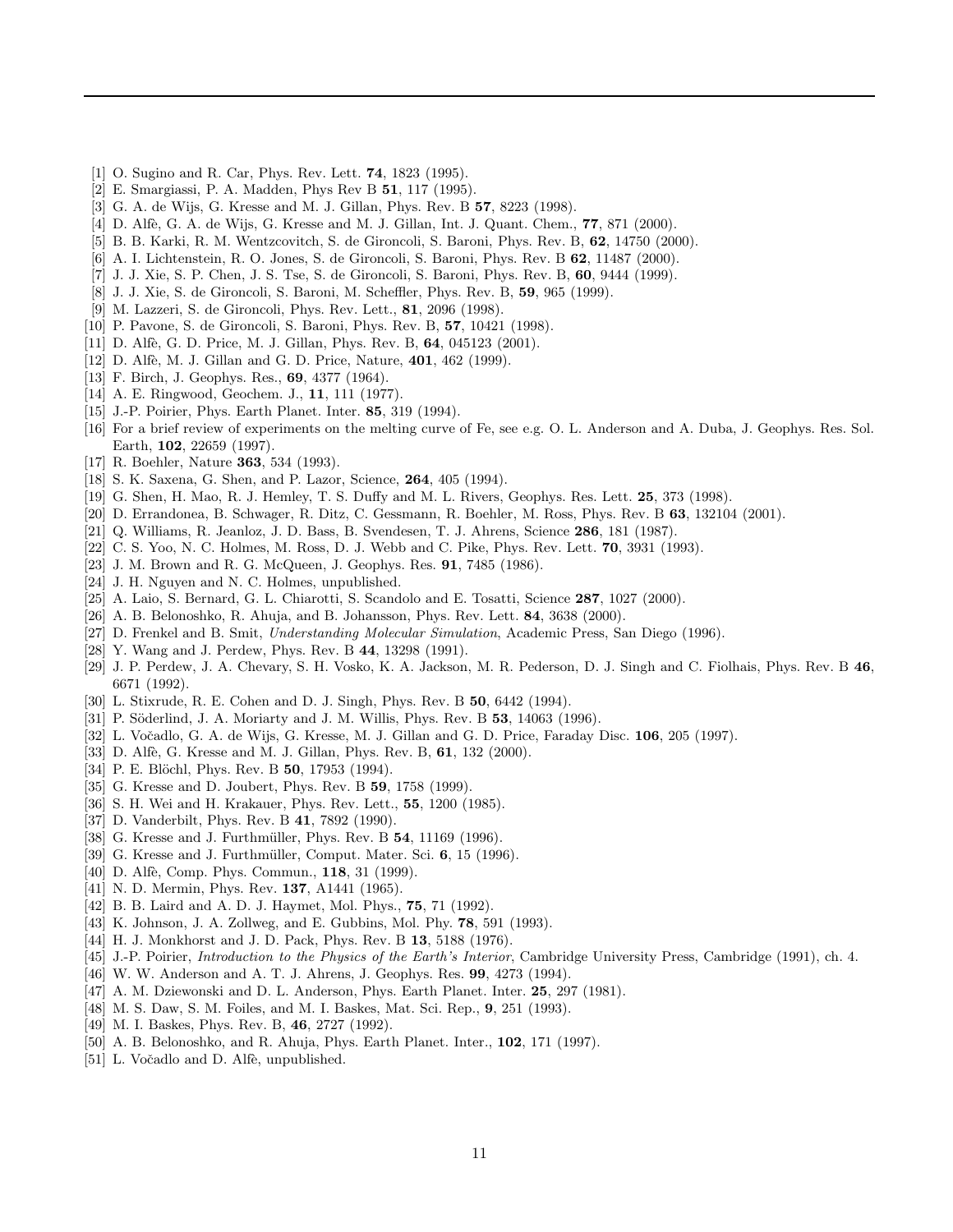- <span id="page-10-0"></span>[1] O. Sugino and R. Car, Phys. Rev. Lett. 74, 1823 (1995).
- [2] E. Smargiassi, P. A. Madden, Phys Rev B 51, 117 (1995).
- [3] G. A. de Wijs, G. Kresse and M. J. Gillan, Phys. Rev. B 57, 8223 (1998).
- [4] D. Alfè, G. A. de Wijs, G. Kresse and M. J. Gillan, Int. J. Quant. Chem., **77**, 871 (2000).
- [5] B. B. Karki, R. M. Wentzcovitch, S. de Gironcoli, S. Baroni, Phys. Rev. B, 62, 14750 (2000).
- [6] A. I. Lichtenstein, R. O. Jones, S. de Gironcoli, S. Baroni, Phys. Rev. B 62, 11487 (2000).
- [7] J. J. Xie, S. P. Chen, J. S. Tse, S. de Gironcoli, S. Baroni, Phys. Rev. B, 60, 9444 (1999).
- [8] J. J. Xie, S. de Gironcoli, S. Baroni, M. Scheffler, Phys. Rev. B, 59, 965 (1999).
- [9] M. Lazzeri, S. de Gironcoli, Phys. Rev. Lett., 81, 2096 (1998).
- [10] P. Pavone, S. de Gironcoli, S. Baroni, Phys. Rev. B, 57, 10421 (1998).
- [11] D. Alfè, G. D. Price, M. J. Gillan, Phys. Rev. B, 64, 045123 (2001).
- [12] D. Alfè, M. J. Gillan and G. D. Price, Nature, 401, 462 (1999).
- [13] F. Birch, J. Geophys. Res., 69, 4377 (1964).
- [14] A. E. Ringwood, Geochem. J., **11**, 111 (1977).
- [15] J.-P. Poirier, Phys. Earth Planet. Inter. 85, 319 (1994).
- [16] For a brief review of experiments on the melting curve of Fe, see e.g. O. L. Anderson and A. Duba, J. Geophys. Res. Sol. Earth, 102, 22659 (1997).
- [17] R. Boehler, Nature 363, 534 (1993).
- [18] S. K. Saxena, G. Shen, and P. Lazor, Science, 264, 405 (1994).
- [19] G. Shen, H. Mao, R. J. Hemley, T. S. Duffy and M. L. Rivers, Geophys. Res. Lett. 25, 373 (1998).
- [20] D. Errandonea, B. Schwager, R. Ditz, C. Gessmann, R. Boehler, M. Ross, Phys. Rev. B 63, 132104 (2001).
- [21] Q. Williams, R. Jeanloz, J. D. Bass, B. Svendesen, T. J. Ahrens, Science 286, 181 (1987).
- [22] C. S. Yoo, N. C. Holmes, M. Ross, D. J. Webb and C. Pike, Phys. Rev. Lett. 70, 3931 (1993).
- [23] J. M. Brown and R. G. McQueen, J. Geophys. Res. 91, 7485 (1986).
- [24] J. H. Nguyen and N. C. Holmes, unpublished.
- [25] A. Laio, S. Bernard, G. L. Chiarotti, S. Scandolo and E. Tosatti, Science 287, 1027 (2000).
- [26] A. B. Belonoshko, R. Ahuja, and B. Johansson, Phys. Rev. Lett. 84, 3638 (2000).
- [27] D. Frenkel and B. Smit, Understanding Molecular Simulation, Academic Press, San Diego (1996).
- [28] Y. Wang and J. Perdew, Phys. Rev. B 44, 13298 (1991).
- [29] J. P. Perdew, J. A. Chevary, S. H. Vosko, K. A. Jackson, M. R. Pederson, D. J. Singh and C. Fiolhais, Phys. Rev. B 46, 6671 (1992).
- [30] L. Stixrude, R. E. Cohen and D. J. Singh, Phys. Rev. B 50, 6442 (1994).
- [31] P. Söderlind, J. A. Moriarty and J. M. Willis, Phys. Rev. B 53, 14063 (1996).
- [32] L. Vočadlo, G. A. de Wijs, G. Kresse, M. J. Gillan and G. D. Price, Faraday Disc. 106, 205 (1997).
- [33] D. Alfè, G. Kresse and M. J. Gillan, Phys. Rev. B, 61, 132 (2000).
- [34] P. E. Blöchl, Phys. Rev. B 50, 17953 (1994).
- [35] G. Kresse and D. Joubert, Phys. Rev. B 59, 1758 (1999).
- [36] S. H. Wei and H. Krakauer, Phys. Rev. Lett., **55**, 1200 (1985).
- [37] D. Vanderbilt, Phys. Rev. B 41, 7892 (1990).
- [38] G. Kresse and J. Furthmüller, Phys. Rev. B 54, 11169 (1996).
- [39] G. Kresse and J. Furthmüller, Comput. Mater. Sci. 6, 15 (1996).
- [40] D. Alfè, Comp. Phys. Commun., **118**, 31 (1999).
- [41] N. D. Mermin, Phys. Rev. **137**, A1441 (1965).
- [42] B. B. Laird and A. D. J. Haymet, Mol. Phys., 75, 71 (1992).
- [43] K. Johnson, J. A. Zollweg, and E. Gubbins, Mol. Phy. 78, 591 (1993).
- [44] H. J. Monkhorst and J. D. Pack, Phys. Rev. B 13, 5188 (1976).
- [45] J.-P. Poirier, *Introduction to the Physics of the Earth's Interior*, Cambridge University Press, Cambridge (1991), ch. 4.
- [46] W. W. Anderson and A. T. J. Ahrens, J. Geophys. Res. 99, 4273 (1994).
- [47] A. M. Dziewonski and D. L. Anderson, Phys. Earth Planet. Inter. 25, 297 (1981).
- [48] M. S. Daw, S. M. Foiles, and M. I. Baskes, Mat. Sci. Rep., 9, 251 (1993).
- [49] M. I. Baskes, Phys. Rev. B, 46, 2727 (1992).
- [50] A. B. Belonoshko, and R. Ahuja, Phys. Earth Planet. Inter., 102, 171 (1997).
- [51] L. Vočadlo and D. Alfè, unpublished.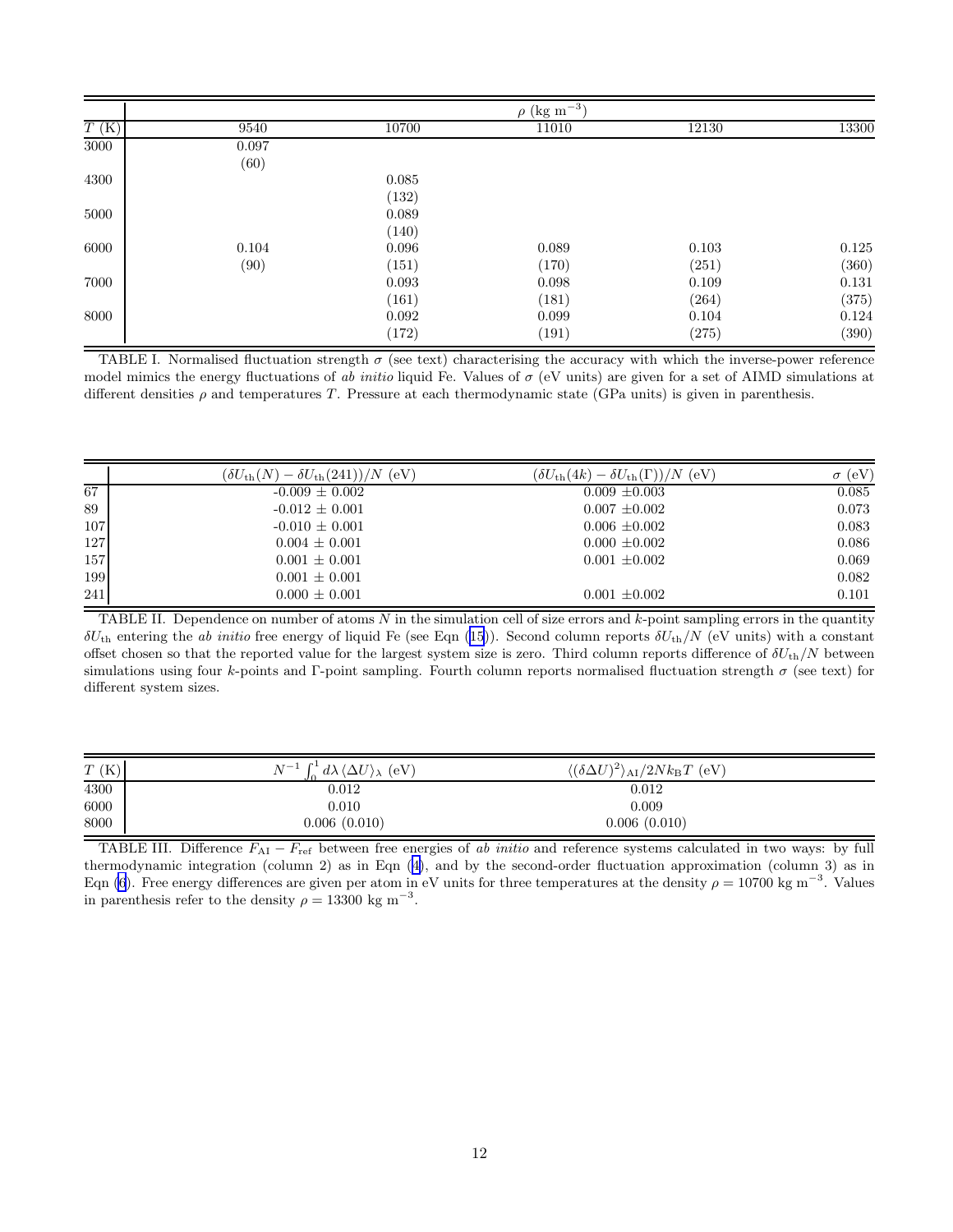<span id="page-11-0"></span>

|                    |       |       | $\rho$ (kg m <sup>-3</sup> ) |       |           |
|--------------------|-------|-------|------------------------------|-------|-----------|
| $\overline{T}$ (K) | 9540  | 10700 | 11010                        | 12130 | 13300     |
| 3000               | 0.097 |       |                              |       |           |
|                    | (60)  |       |                              |       |           |
| 4300               |       | 0.085 |                              |       |           |
|                    |       | (132) |                              |       |           |
| 5000               |       | 0.089 |                              |       |           |
|                    |       | (140) |                              |       |           |
| 6000               | 0.104 | 0.096 | 0.089                        | 0.103 | $0.125\,$ |
|                    | (90)  | (151) | (170)                        | (251) | (360)     |
| 7000               |       | 0.093 | 0.098                        | 0.109 | $0.131\,$ |
|                    |       | (161) | (181)                        | (264) | (375)     |
| 8000               |       | 0.092 | 0.099                        | 0.104 | 0.124     |
|                    |       | (172) | (191)                        | (275) | (390)     |

TABLE I. Normalised fluctuation strength  $\sigma$  (see text) characterising the accuracy with which the inverse-power reference model mimics the energy fluctuations of ab initio liquid Fe. Values of  $\sigma$  (eV units) are given for a set of AIMD simulations at different densities  $\rho$  and temperatures T. Pressure at each thermodynamic state (GPa units) is given in parenthesis.

|     | $(\delta U_{\text{th}}(N) - \delta U_{\text{th}}(241))/N$ (eV) | $(\delta U_{\rm th}(4k) - \delta U_{\rm th}(\Gamma))/N$ (eV) | (eV)<br>$\sigma$ |
|-----|----------------------------------------------------------------|--------------------------------------------------------------|------------------|
| 67  | $-0.009 \pm 0.002$                                             | $0.009 \pm 0.003$                                            | 0.085            |
| 89  | $-0.012 \pm 0.001$                                             | $0.007 \pm 0.002$                                            | 0.073            |
| 107 | $-0.010 \pm 0.001$                                             | $0.006 \pm 0.002$                                            | 0.083            |
| 127 | $0.004 \pm 0.001$                                              | $0.000 \pm 0.002$                                            | 0.086            |
| 157 | $0.001 \pm 0.001$                                              | $0.001 \pm 0.002$                                            | 0.069            |
| 199 | $0.001 \pm 0.001$                                              |                                                              | 0.082            |
| 241 | $0.000 \pm 0.001$                                              | $0.001 \pm 0.002$                                            | 0.101            |

TABLE II. Dependence on number of atoms  $N$  in the simulation cell of size errors and  $k$ -point sampling errors in the quantity  $\delta U_{\text{th}}$  $\delta U_{\text{th}}$  $\delta U_{\text{th}}$  entering the ab initio free energy of liquid Fe (see Eqn ([15](#page-3-0))). Second column reports  $\delta U_{\text{th}}/N$  (eV units) with a constant offset chosen so that the reported value for the largest system size is zero. Third column reports difference of  $\delta U_{\text{th}}/N$  between simulations using four k-points and Γ-point sampling. Fourth column reports normalised fluctuation strength  $\sigma$  (see text) for different system sizes.

| T(K) | $N^{-1} \int_{0}^{1} d\lambda \langle \Delta U \rangle_{\lambda}$ (eV) | $\langle (\delta \Delta U)^2 \rangle_{\rm AI}/2N k_{\rm B} T \text{ (eV)}$ |  |
|------|------------------------------------------------------------------------|----------------------------------------------------------------------------|--|
| 4300 | $\,0.012\,$                                                            | 0.012                                                                      |  |
| 6000 | $0.010\,$                                                              | 0.009                                                                      |  |
| 8000 | 0.006(0.010)                                                           | 0.006(0.010)                                                               |  |

TABLE III. Difference  $F_{\rm AI} - F_{\rm ref}$  between free energies of ab initio and reference systems calculated in two ways: by full thermodynamic integration (column 2) as in Eqn([4\)](#page-2-0), and by the second-order fluctuation approximation (column 3) as in Eqn [\(6\)](#page-2-0). Free energy differences are given per atom in eV units for three temperatures at the density  $\rho = 10700 \text{ kg m}^{-3}$ . Values in parenthesis refer to the density  $\rho = 13300 \text{ kg m}^{-3}$ .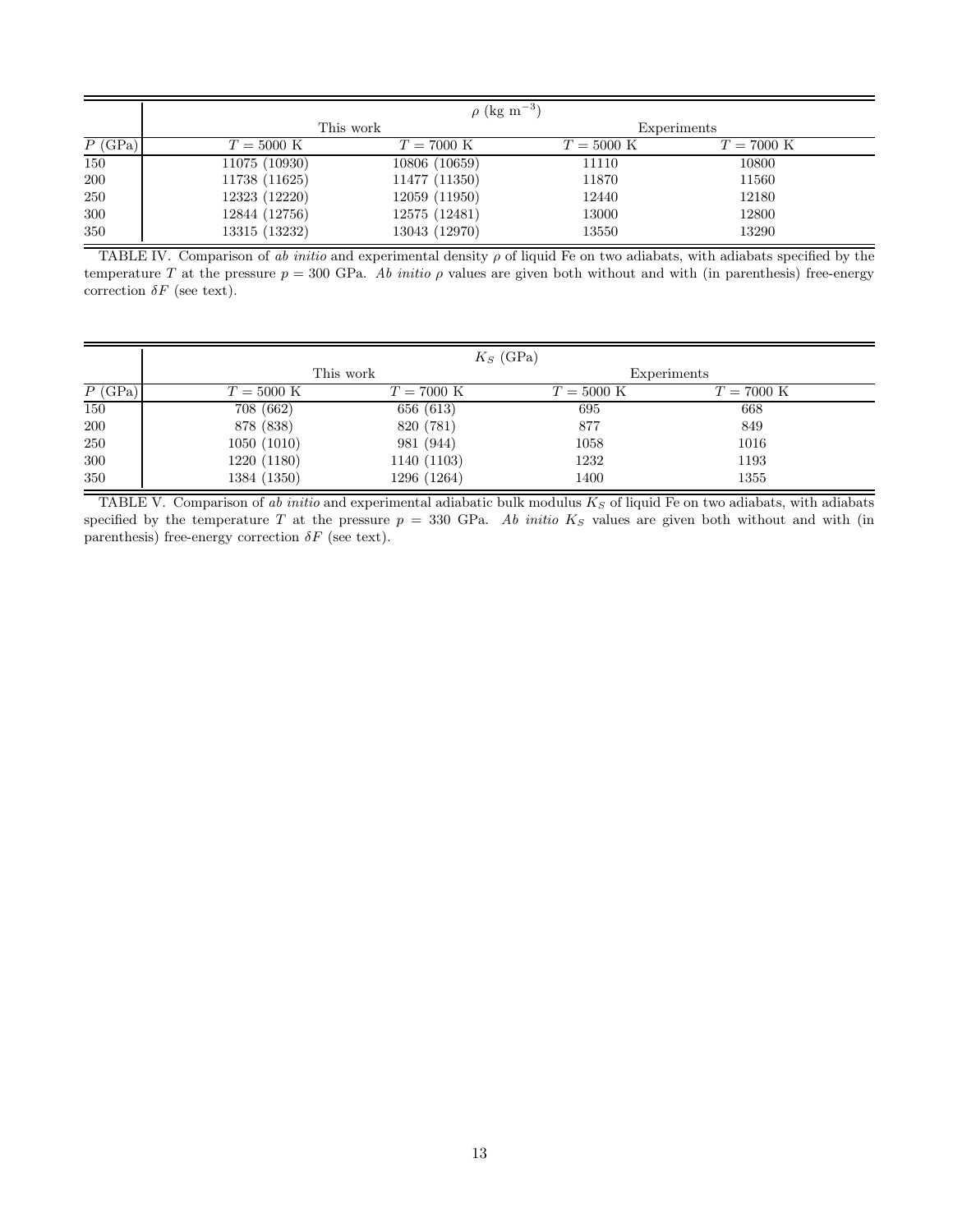<span id="page-12-0"></span>

|           | $\rho$ (kg m <sup>-3</sup> ) |                      |                      |                      |  |
|-----------|------------------------------|----------------------|----------------------|----------------------|--|
|           | This work                    |                      | Experiments          |                      |  |
| $P$ (GPa) | $T = 5000 \text{ K}$         | $T = 7000 \text{ K}$ | $T = 5000 \text{ K}$ | $T = 7000 \text{ K}$ |  |
| 150       | 11075 (10930)                | 10806 (10659)        | 11110                | 10800                |  |
| 200       | 11738 (11625)                | 11477 (11350)        | 11870                | 11560                |  |
| 250       | 12323 (12220)                | 12059 (11950)        | 12440                | 12180                |  |
| 300       | 12844 (12756)                | 12575 (12481)        | 13000                | 12800                |  |
| 350       | 13315 (13232)                | 13043 (12970)        | 13550                | 13290                |  |

TABLE IV. Comparison of ab initio and experimental density  $\rho$  of liquid Fe on two adiabats, with adiabats specified by the temperature T at the pressure  $p = 300$  GPa. Ab initio  $\rho$  values are given both without and with (in parenthesis) free-energy correction  $\delta F$  (see text).

|           |                      |                      | $K_S$ (GPa)          |                      |  |
|-----------|----------------------|----------------------|----------------------|----------------------|--|
|           | This work            |                      | Experiments          |                      |  |
| $P$ (GPa) | $T = 5000 \text{ K}$ | $T = 7000 \text{ K}$ | $T = 5000 \text{ K}$ | $T = 7000 \text{ K}$ |  |
| 150       | 708 (662)            | 656 (613)            | 695                  | 668                  |  |
| 200       | 878 (838)            | 820 (781)            | 877                  | 849                  |  |
| 250       | 1050(1010)           | 981 (944)            | 1058                 | 1016                 |  |
| 300       | 1220 (1180)          | 1140 (1103)          | 1232                 | 1193                 |  |
| 350       | 1384 (1350)          | 1296 (1264)          | 1400                 | 1355                 |  |

TABLE V. Comparison of ab initio and experimental adiabatic bulk modulus  $K_S$  of liquid Fe on two adiabats, with adiabats specified by the temperature T at the pressure  $p = 330$  GPa. Ab initio  $K_S$  values are given both without and with (in parenthesis) free-energy correction  $\delta F$  (see text).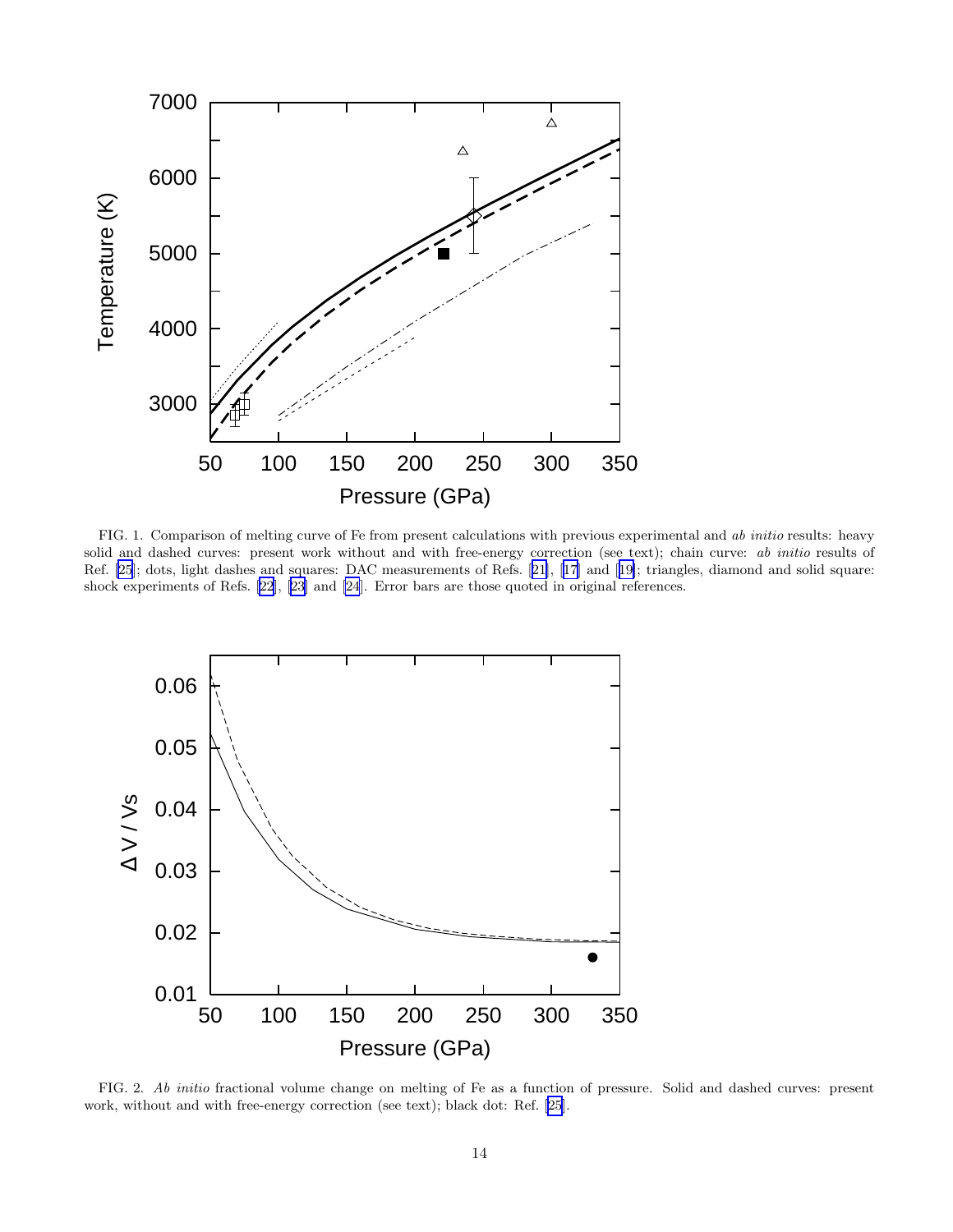<span id="page-13-0"></span>

FIG. 1. Comparison of melting curve of Fe from present calculations with previous experimental and ab initio results: heavy solid and dashed curves: present work without and with free-energy correction (see text); chain curve: ab initio results of Ref. [\[25](#page-10-0)]; dots, light dashes and squares: DAC measurements of Refs.[[21\]](#page-10-0), [\[17](#page-10-0)] and[[19\]](#page-10-0); triangles, diamond and solid square: shock experiments of Refs.[[22](#page-10-0)],[[23\]](#page-10-0) and [\[24](#page-10-0)]. Error bars are those quoted in original references.



FIG. 2. Ab initio fractional volume change on melting of Fe as a function of pressure. Solid and dashed curves: present work, without and with free-energy correction (see text); black dot: Ref. [\[25](#page-10-0)].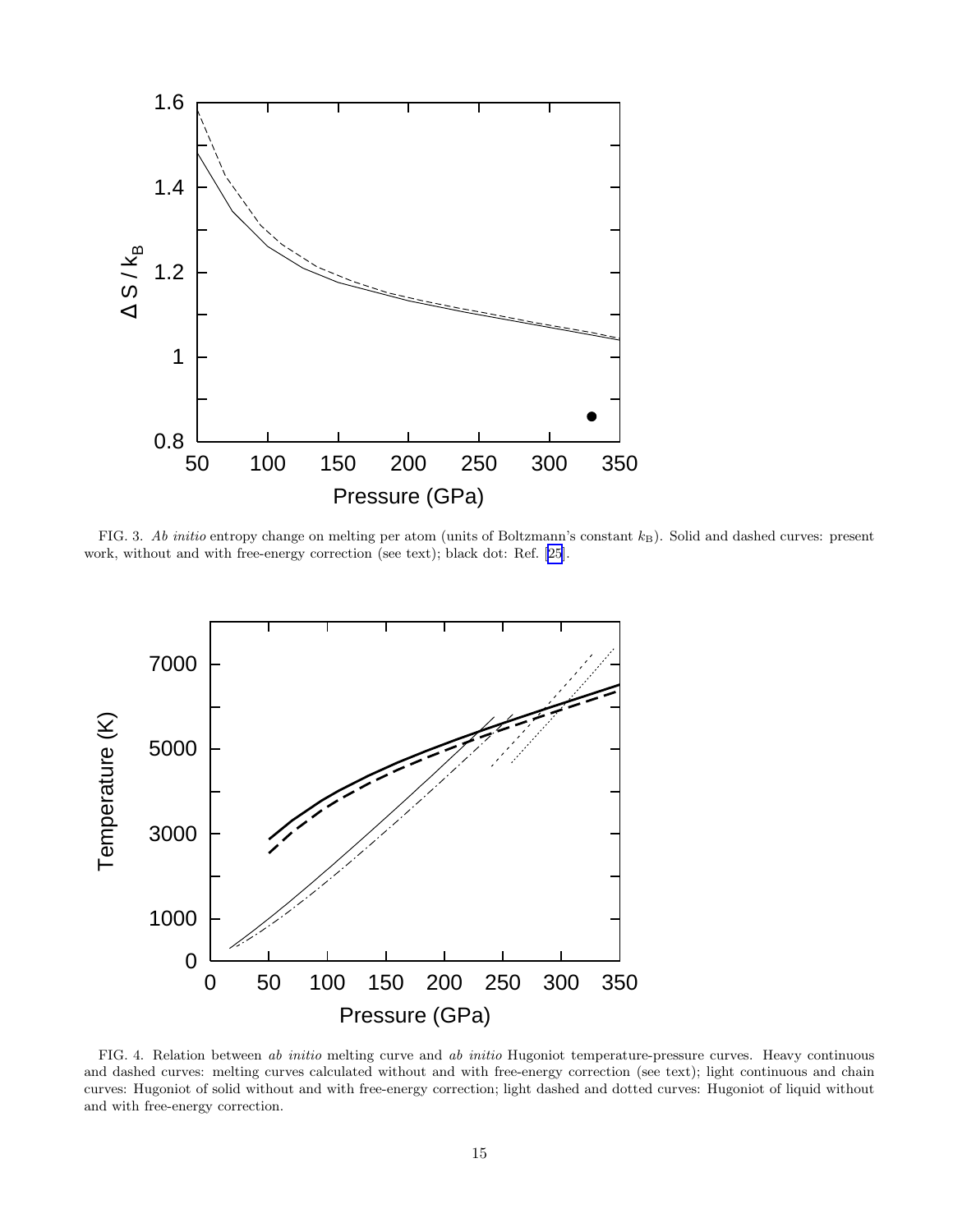<span id="page-14-0"></span>

FIG. 3. Ab initio entropy change on melting per atom (units of Boltzmann's constant  $k_B$ ). Solid and dashed curves: present work, without and with free-energy correction (see text); black dot: Ref. [\[25](#page-10-0)].



FIG. 4. Relation between ab initio melting curve and ab initio Hugoniot temperature-pressure curves. Heavy continuous and dashed curves: melting curves calculated without and with free-energy correction (see text); light continuous and chain curves: Hugoniot of solid without and with free-energy correction; light dashed and dotted curves: Hugoniot of liquid without and with free-energy correction.